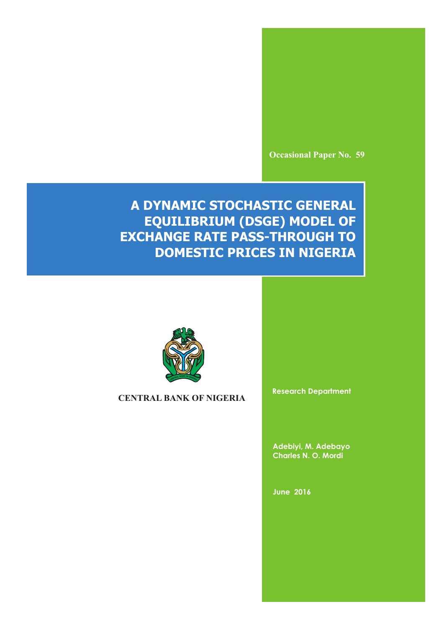**Occasional Paper No. 59**

# **A DYNAMIC STOCHASTIC GENERAL EQUILIBRIUM (DSGE) MODEL OF EXCHANGE RATE PASS-THROUGH TO DOMESTIC PRICES IN NIGERIA**



**CENTRAL BANK OF NIGERIA**

**Research Department**

**Adebiyi, M. Adebayo Charles N. O. Mordi**

**June 2016**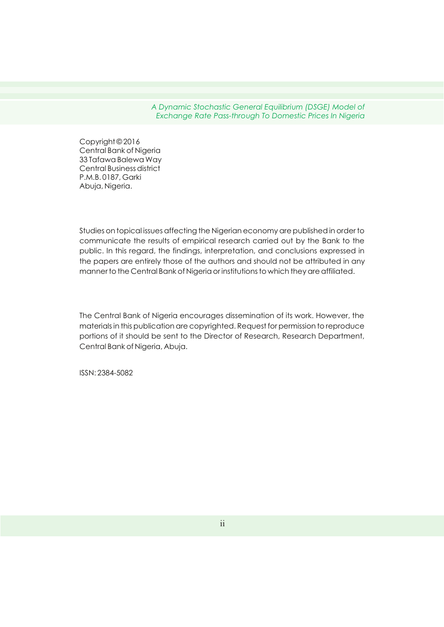Copyright © 2016 Central Bank of Nigeria 33 Tafawa Balewa Way Central Business district P.M.B. 0187, Garki Abuja, Nigeria.

Studies on topical issues affecting the Nigerian economy are published in order to communicate the results of empirical research carried out by the Bank to the public. In this regard, the findings, interpretation, and conclusions expressed in the papers are entirely those of the authors and should not be attributed in any manner to the Central Bank of Nigeria or institutions to which they are affiliated.

The Central Bank of Nigeria encourages dissemination of its work. However, the materials in this publication are copyrighted. Request for permission to reproduce portions of it should be sent to the Director of Research, Research Department, Central Bank of Nigeria, Abuja.

ISSN: 2384-5082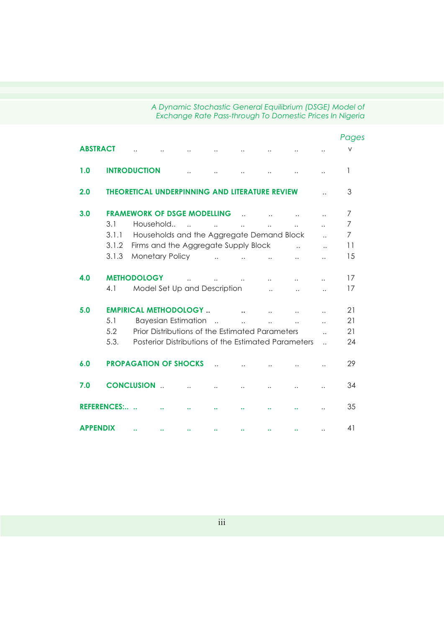|                 |                                |                                                 |                                                                                     |                                                         |                                      |                                                                                                                                                        |                                                           |                                              | Pages                   |
|-----------------|--------------------------------|-------------------------------------------------|-------------------------------------------------------------------------------------|---------------------------------------------------------|--------------------------------------|--------------------------------------------------------------------------------------------------------------------------------------------------------|-----------------------------------------------------------|----------------------------------------------|-------------------------|
| <b>ABSTRACT</b> |                                |                                                 |                                                                                     |                                                         |                                      |                                                                                                                                                        |                                                           |                                              | V                       |
| 1.0             |                                | <b>INTRODUCTION</b>                             |                                                                                     |                                                         |                                      |                                                                                                                                                        |                                                           |                                              | 1                       |
| 2.0             |                                |                                                 |                                                                                     |                                                         |                                      | <b>THEORETICAL UNDERPINNING AND LITERATURE REVIEW</b>                                                                                                  |                                                           |                                              | 3                       |
| 3.0             | 3.1<br>3.1.1<br>3.1.2<br>3.1.3 | <b>FRAMEWORK OF DSGE MODELLING</b><br>Household | $\mathcal{L}(\mathcal{L}(\mathcal{L}))$ and $\mathcal{L}(\mathcal{L}(\mathcal{L}))$ | Firms and the Aggregate Supply Block<br>Monetary Policy | $\ddot{\phantom{a}}$<br>$\mathbf{r}$ | $\ddot{\phantom{a}}$<br>Households and the Aggregate Demand Block                                                                                      | $\ddot{\phantom{a}}$<br>$\ddot{\phantom{a}}$<br>$\ddotsc$ | $\ddot{\phantom{a}}$<br>$\ddot{\phantom{a}}$ | 7<br>7<br>7<br>11<br>15 |
| 4.0             | 4.1                            | <b>METHODOLOGY</b>                              |                                                                                     | Model Set Up and Description                            |                                      | $\mathbf{r} = \mathbf{r} \cdot \mathbf{r}$ and $\mathbf{r} = \mathbf{r} \cdot \mathbf{r}$ and $\mathbf{r} = \mathbf{r} \cdot \mathbf{r}$<br>$\dddotsc$ |                                                           |                                              | 17<br>17                |
| 5.0             | 5.1<br>5.2<br>5.3.             | <b>EMPIRICAL METHODOLOGY </b>                   | <b>Bayesian Estimation</b>                                                          |                                                         | $\sim$ $\sim$<br>$\sim$ $\sim$       | $\sim$ $\sim$<br>Prior Distributions of the Estimated Parameters<br>Posterior Distributions of the Estimated Parameters                                |                                                           | $\ddotsc$<br>$\ddot{\phantom{a}}$            | 21<br>21<br>21<br>24    |
| 6.0             |                                | <b>PROPAGATION OF SHOCKS</b>                    |                                                                                     |                                                         |                                      |                                                                                                                                                        |                                                           |                                              | 29                      |
| 7.0             |                                | <b>CONCLUSION </b>                              | $\ddotsc$                                                                           | $\ddotsc$                                               |                                      | $\ddot{\phantom{a}}$                                                                                                                                   | $\ddot{\phantom{a}}$                                      |                                              | 34                      |
|                 | <b>REFERENCES:</b>             |                                                 |                                                                                     |                                                         | $\ddotsc$                            |                                                                                                                                                        |                                                           |                                              | 35                      |
| <b>APPENDIX</b> |                                |                                                 | .,                                                                                  | $\bullet$                                               | $\bullet$                            |                                                                                                                                                        |                                                           |                                              | 41                      |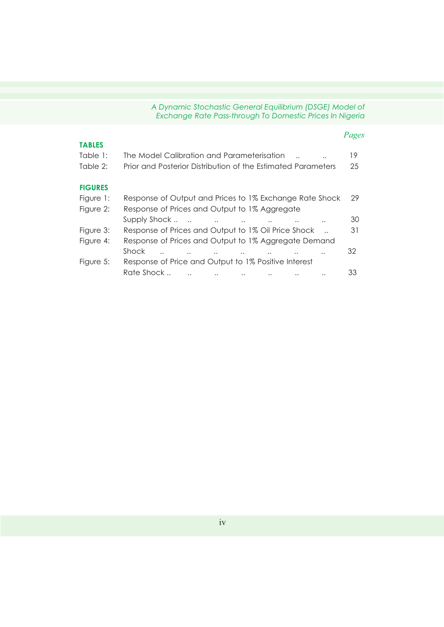# *Pages*

| <b>TABLES</b>  |                                                              |     |
|----------------|--------------------------------------------------------------|-----|
| Table 1:       | The Model Calibration and Parameterisation                   | 19. |
| Table 2:       | Prior and Posterior Distribution of the Estimated Parameters | 25  |
|                |                                                              |     |
| <b>FIGURES</b> |                                                              |     |
| Figure 1:      | Response of Output and Prices to 1% Exchange Rate Shock      | 29  |
| Figure 2:      | Response of Prices and Output to 1% Aggregate                |     |
|                | Supply Shock<br>$\ddot{\phantom{a}}$                         | 30  |
| Figure 3:      | Response of Prices and Output to 1% Oil Price Shock          | 31  |
| Figure 4:      | Response of Prices and Output to 1% Aggregate Demand         |     |
|                | <b>Shock</b>                                                 | 32  |
| Figure 5:      | Response of Price and Output to 1% Positive Interest         |     |
|                | Rate Shock<br>$\ddotsc$<br>$\ddotsc$<br>                     | 33  |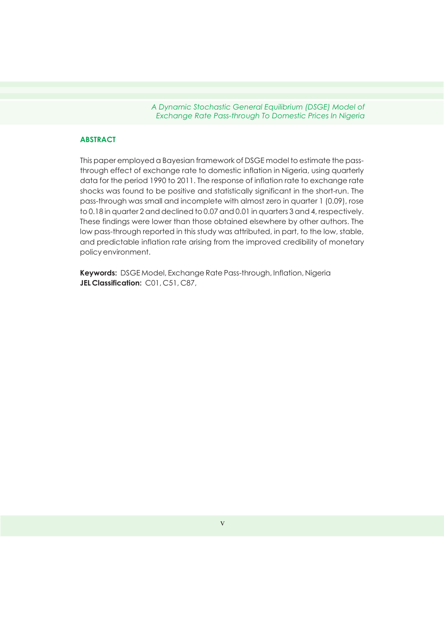#### **ABSTRACT**

This paper employed a Bayesian framework of DSGE model to estimate the passthrough effect of exchange rate to domestic inflation in Nigeria, using quarterly data for the period 1990 to 2011. The response of inflation rate to exchange rate shocks was found to be positive and statistically significant in the short-run. The pass-through was small and incomplete with almost zero in quarter 1 (0.09), rose to 0.18 in quarter 2 and declined to 0.07 and 0.01 in quarters 3 and 4, respectively. These findings were lower than those obtained elsewhere by other authors. The low pass-through reported in this study was attributed, in part, to the low, stable, and predictable inflation rate arising from the improved credibility of monetary policy environment.

**Keywords:** DSGE Model, Exchange Rate Pass-through, Inflation, Nigeria **JEL Classification:** C01, C51, C87,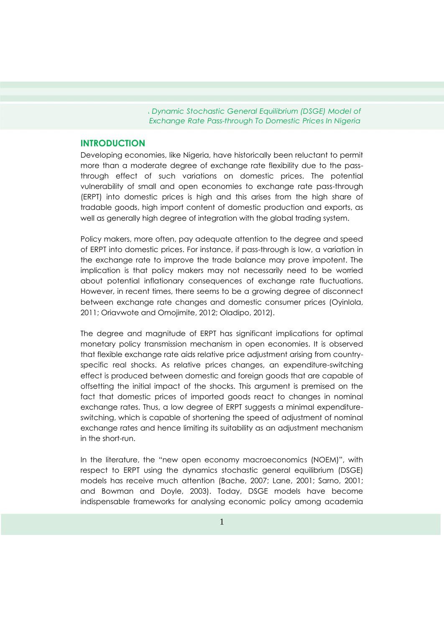## **INTRODUCTION**

Developing economies, like Nigeria, have historically been reluctant to permit more than a moderate degree of exchange rate flexibility due to the passthrough effect of such variations on domestic prices. The potential vulnerability of small and open economies to exchange rate pass-through (ERPT) into domestic prices is high and this arises from the high share of tradable goods, high import content of domestic production and exports, as well as generally high degree of integration with the global trading system.

Policy makers, more often, pay adequate attention to the degree and speed of ERPT into domestic prices. For instance, if pass-through is low, a variation in the exchange rate to improve the trade balance may prove impotent. The implication is that policy makers may not necessarily need to be worried about potential inflationary consequences of exchange rate fluctuations. However, in recent times, there seems to be a growing degree of disconnect between exchange rate changes and domestic consumer prices (Oyinlola, 2011; Oriavwote and Omojimite, 2012; Oladipo, 2012).

The degree and magnitude of ERPT has significant implications for optimal monetary policy transmission mechanism in open economies. It is observed that flexible exchange rate aids relative price adjustment arising from countryspecific real shocks. As relative prices changes, an expenditure-switching effect is produced between domestic and foreign goods that are capable of offsetting the initial impact of the shocks. This argument is premised on the fact that domestic prices of imported goods react to changes in nominal exchange rates. Thus, a low degree of ERPT suggests a minimal expenditureswitching, which is capable of shortening the speed of adjustment of nominal exchange rates and hence limiting its suitability as an adjustment mechanism in the short-run.

In the literature, the "new open economy macroeconomics (NOEM)", with respect to ERPT using the dynamics stochastic general equilibrium (DSGE) models has receive much attention (Bache, 2007; Lane, 2001; Sarno, 2001; and Bowman and Doyle, 2003). Today, DSGE models have become indispensable frameworks for analysing economic policy among academia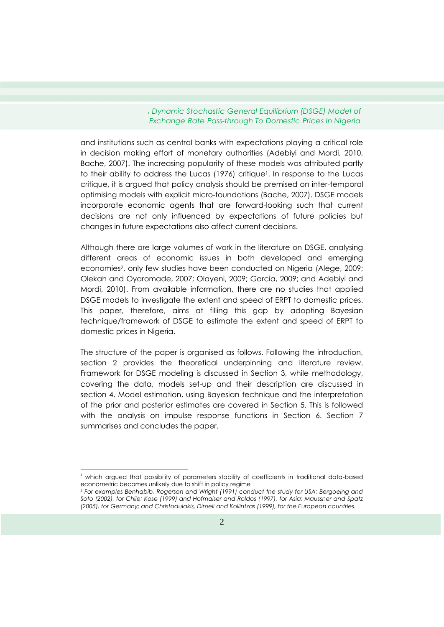and institutions such as central banks with expectations playing a critical role in decision making effort of monetary authorities (Adebiyi and Mordi, 2010, Bache, 2007). The increasing popularity of these models was attributed partly to their ability to address the Lucas (1976) critique1. In response to the Lucas critique, it is argued that policy analysis should be premised on inter-temporal optimising models with explicit micro-foundations (Bache, 2007). DSGE models incorporate economic agents that are forward-looking such that current decisions are not only influenced by expectations of future policies but changes in future expectations also affect current decisions.

Although there are large volumes of work in the literature on DSGE, analysing different areas of economic issues in both developed and emerging economies2, only few studies have been conducted on Nigeria (Alege, 2009; Olekah and Oyaromade, 2007; Olayeni, 2009; Garcia, 2009; and Adebiyi and Mordi, 2010). From available information, there are no studies that applied DSGE models to investigate the extent and speed of ERPT to domestic prices. This paper, therefore, aims at filling this gap by adopting Bayesian technique/framework of DSGE to estimate the extent and speed of ERPT to domestic prices in Nigeria.

The structure of the paper is organised as follows. Following the introduction, section 2 provides the theoretical underpinning and literature review. Framework for DSGE modeling is discussed in Section 3, while methodology, covering the data, models set-up and their description are discussed in section 4. Model estimation, using Bayesian technique and the interpretation of the prior and posterior estimates are covered in Section 5. This is followed with the analysis on impulse response functions in Section 6. Section 7 summarises and concludes the paper.

<u>.</u>

<sup>1</sup> which argued that possibility of parameters stability of coefficients in traditional data-based econometric becomes unlikely due to shift in policy regime

*<sup>2</sup> For examples Benhabib, Rogerson and Wright (1991) conduct the study for USA; Bergoeing and Soto (2002), for Chile; Kose (1999) and Hofmaiser and Roldos (1997), for Asia; Maussner and Spatz (2005), for Germany; and Christodulakis, Dimeli and Kollintzas (1999), for the European countries.*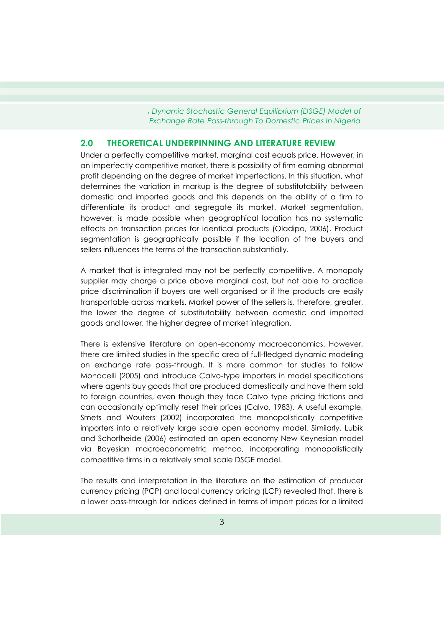## **2.0 THEORETICAL UNDERPINNING AND LITERATURE REVIEW**

Under a perfectly competitive market, marginal cost equals price. However, in an imperfectly competitive market, there is possibility of firm earning abnormal profit depending on the degree of market imperfections. In this situation, what determines the variation in markup is the degree of substitutability between domestic and imported goods and this depends on the ability of a firm to differentiate its product and segregate its market. Market segmentation, however, is made possible when geographical location has no systematic effects on transaction prices for identical products (Oladipo, 2006). Product segmentation is geographically possible if the location of the buyers and sellers influences the terms of the transaction substantially.

A market that is integrated may not be perfectly competitive. A monopoly supplier may charge a price above marginal cost, but not able to practice price discrimination if buyers are well organised or if the products are easily transportable across markets. Market power of the sellers is, therefore, greater, the lower the degree of substitutability between domestic and imported goods and lower, the higher degree of market integration.

There is extensive literature on open-economy macroeconomics. However, there are limited studies in the specific area of full-fledged dynamic modeling on exchange rate pass-through. It is more common for studies to follow Monacelli (2005) and introduce Calvo-type importers in model specifications where agents buy goods that are produced domestically and have them sold to foreign countries, even though they face Calvo type pricing frictions and can occasionally optimally reset their prices (Calvo, 1983). A useful example, Smets and Wouters (2002) incorporated the monopolistically competitive importers into a relatively large scale open economy model. Similarly, Lubik and Schorfheide (2006) estimated an open economy New Keynesian model via Bayesian macroeconometric method, incorporating monopolistically competitive firms in a relatively small scale DSGE model.

The results and interpretation in the literature on the estimation of producer currency pricing (PCP) and local currency pricing (LCP) revealed that, there is a lower pass-through for indices defined in terms of import prices for a limited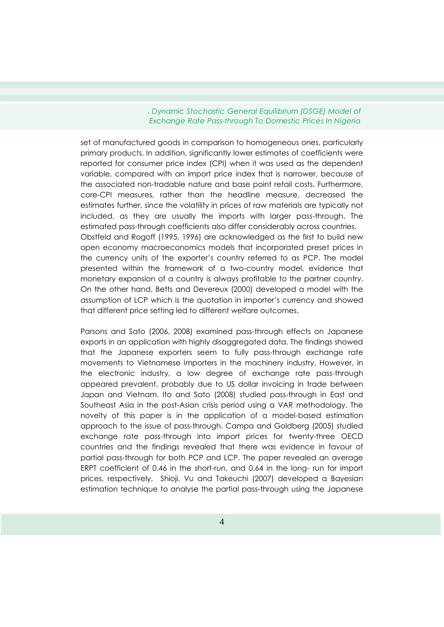set of manufactured goods in comparison to homogeneous ones, particularly primary products. In addition, significantly lower estimates of coefficients were reported for consumer price index (CPI) when it was used as the dependent variable, compared with an import price index that is narrower, because of the associated non-tradable nature and base point retail costs. Furthermore, core-CPI measures, rather than the headline measure, decreased the estimates further, since the volatility in prices of raw materials are typically not included, as they are usually the imports with larger pass-through. The estimated pass-through coefficients also differ considerably across countries. Obstfeld and Rogoff (1995, 1996) are acknowledged as the first to build new open economy macroeconomics models that incorporated preset prices in the currency units of the exporter's country referred to as PCP. The model presented within the framework of a two-country model, evidence that monetary expansion of a country is always profitable to the partner country. On the other hand, Betts and Devereux (2000) developed a model with the assumption of LCP which is the quotation in importer's currency and showed that different price setting led to different welfare outcomes.

Parsons and Sato (2006, 2008) examined pass-through effects on Japanese exports in an application with highly disaggregated data. The findings showed that the Japanese exporters seem to fully pass-through exchange rate movements to Vietnamese importers in the machinery industry. However, in the electronic industry, a low degree of exchange rate pass-through appeared prevalent, probably due to US dollar invoicing in trade between Japan and Vietnam. Ito and Sato (2008) studied pass-through in East and Southeast Asia in the post-Asian crisis period using a VAR methodology. The novelty of this paper is in the application of a model-based estimation approach to the issue of pass-through. Campa and Goldberg (2005) studied exchange rate pass-through into import prices for twenty-three OECD countries and the findings revealed that there was evidence in favour of partial pass-through for both PCP and LCP. The paper revealed an average ERPT coefficient of 0.46 in the short-run, and 0.64 in the long- run for import prices, respectively. Shioji, Vu and Takeuchi (2007) developed a Bayesian estimation technique to analyse the partial pass-through using the Japanese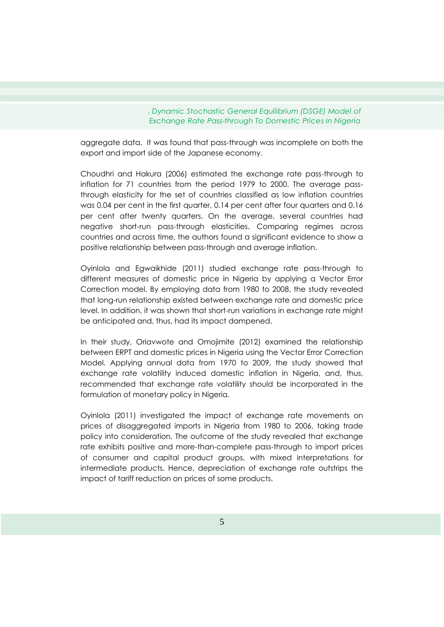aggregate data. It was found that pass-through was incomplete on both the export and import side of the Japanese economy.

Choudhri and Hakura (2006) estimated the exchange rate pass-through to inflation for 71 countries from the period 1979 to 2000. The average passthrough elasticity for the set of countries classified as low inflation countries was 0.04 per cent in the first quarter, 0.14 per cent after four quarters and 0.16 per cent after twenty quarters. On the average, several countries had negative short-run pass-through elasticities. Comparing regimes across countries and across time, the authors found a significant evidence to show a positive relationship between pass-through and average inflation.

Oyinlola and Egwaikhide (2011) studied exchange rate pass-through to different measures of domestic price in Nigeria by applying a Vector Error Correction model. By employing data from 1980 to 2008, the study revealed that long-run relationship existed between exchange rate and domestic price level. In addition, it was shown that short-run variations in exchange rate might be anticipated and, thus, had its impact dampened.

In their study, Oriavwote and Omojimite (2012) examined the relationship between ERPT and domestic prices in Nigeria using the Vector Error Correction Model. Applying annual data from 1970 to 2009, the study showed that exchange rate volatility induced domestic inflation in Nigeria, and, thus, recommended that exchange rate volatility should be incorporated in the formulation of monetary policy in Nigeria.

Oyinlola (2011) investigated the impact of exchange rate movements on prices of disaggregated imports in Nigeria from 1980 to 2006, taking trade policy into consideration. The outcome of the study revealed that exchange rate exhibits positive and more-than-complete pass-through to import prices of consumer and capital product groups, with mixed interpretations for intermediate products. Hence, depreciation of exchange rate outstrips the impact of tariff reduction on prices of some products.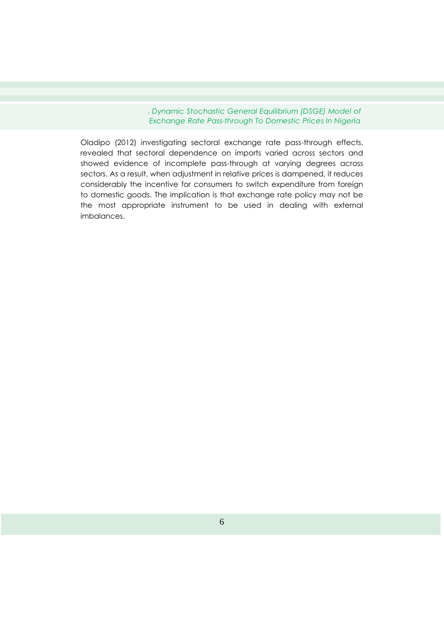Oladipo (2012) investigating sectoral exchange rate pass-through effects, revealed that sectoral dependence on imports varied across sectors and showed evidence of incomplete pass-through at varying degrees across sectors. As a result, when adjustment in relative prices is dampened, it reduces considerably the incentive for consumers to switch expenditure from foreign to domestic goods. The implication is that exchange rate policy may not be the most appropriate instrument to be used in dealing with external imbalances.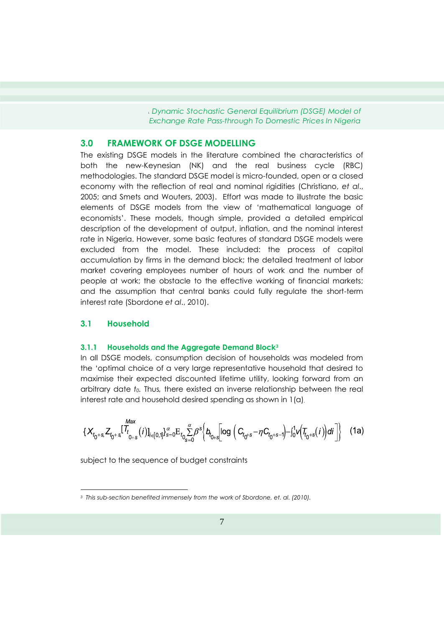## **3.0 FRAMEWORK OF DSGE MODELLING**

The existing DSGE models in the literature combined the characteristics of both the new-Keynesian (NK) and the real business cycle (RBC) methodologies. The standard DSGE model is micro-founded, open or a closed economy with the reflection of real and nominal rigidities (Christiano, *et al*., 2005; and Smets and Wouters, 2003). Effort was made to illustrate the basic elements of DSGE models from the view of 'mathematical language of economists'. These models, though simple, provided a detailed empirical description of the development of output, inflation, and the nominal interest rate in Nigeria. However, some basic features of standard DSGE models were excluded from the model. These included: the process of capital accumulation by firms in the demand block; the detailed treatment of labor market covering employees number of hours of work and the number of people at work; the obstacle to the effective working of financial markets; and the assumption that central banks could fully regulate the short-term interest rate (Sbordone *et al*., 2010).

#### **3.1 Household**

<u>.</u>

#### **3.1.1 Households and the Aggregate Demand Block<sup>3</sup>**

In all DSGE models, consumption decision of households was modeled from the 'optimal choice of a very large representative household that desired to maximise their expected discounted lifetime utility, looking forward from an arbitrary date *t0.* Thus*,* there existed an inverse relationship between the real interest rate and household desired spending as shown in 1(a)*.*

$$
\{X_{t_0+s},Z_{t_0+s}[\mathcal{T}_{t_{0+s}}^{\text{Max}}(i)]_{i\in[0,1]}\}_{s=0}^{\infty}E_{t_0\sum_{s=0}^{N}\beta^s}\Big\{b_{t_{0+s}}\Big[\log\Big(C_{t_0+s}-\eta C_{t_0+s-1}\Big)-\int_0^1v\Big(\mathcal{T}_{t_0+s}(i)\Big)di\Big]\Big\}\quad \text{(1a)}
$$

subject to the sequence of budget constraints

*<sup>3</sup> This sub-section benefited immensely from the work of Sbordone, et. al. (2010).*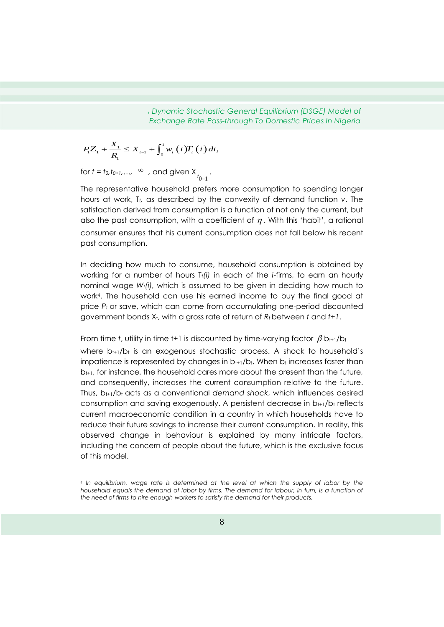$$
P_1Z_1 + \frac{X_1}{R_1} \leq X_{i-1} + \int_0^1 w_i(i)T_i(i)di,
$$

for  $t = t_0, t_{0+1}, \ldots$ ,  $\infty$ , and given X  $t_{0-1}$ .

1

The representative household prefers more consumption to spending longer hours at work, T*t,* as described by the convexity of demand function *v*. The satisfaction derived from consumption is a function of not only the current, but also the past consumption, with a coefficient of  $\eta$ . With this 'habit', a rational consumer ensures that his current consumption does not fall below his recent past consumption.

In deciding how much to consume, household consumption is obtained by working for a number of hours T*t(i)* in each of the *i*-firms, to earn an hourly nominal wage *Wt(i),* which is assumed to be given in deciding how much to work4. The household can use his earned income to buy the final good at price *P<sup>t</sup>* or save, which can come from accumulating one-period discounted government bonds Xt, with a gross rate of return of *R<sup>t</sup>* between *t* and *t+1*.

From time t, utility in time t+1 is discounted by time-varying factor  $\,\beta$  b<sub>t+1</sub>/b<sub>t</sub>

where  $b_{t+1}/b_t$  is an exogenous stochastic process. A shock to household's impatience is represented by changes in  $b_{t+1}/b_t$ . When  $b_t$  increases faster than  $b_{t+1}$ , for instance, the household cares more about the present than the future, and consequently, increases the current consumption relative to the future. Thus, bt+1/bt acts as a conventional *demand shock*, which influences desired consumption and saving exogenously. A persistent decrease in  $b_{t+1}/b_t$  reflects current macroeconomic condition in a country in which households have to reduce their future savings to increase their current consumption. In reality, this observed change in behaviour is explained by many intricate factors, including the concern of people about the future, which is the exclusive focus of this model.

*<sup>4</sup> In equilibrium, wage rate is determined at the level at which the supply of labor by the*  household equals the demand of labor by firms. The demand for labour, in turn, is a function of *the need of firms to hire enough workers to satisfy the demand for their products.*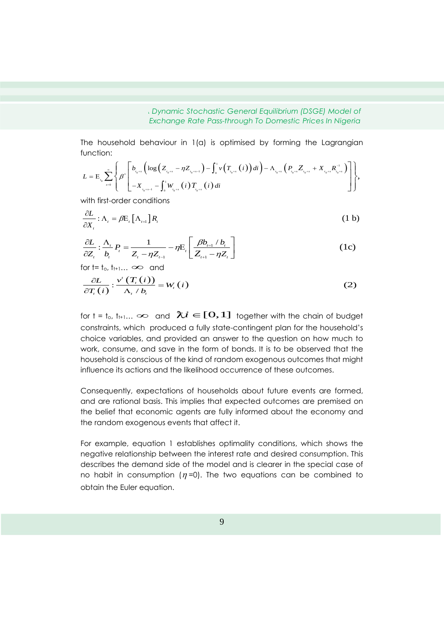The household behaviour in  $1(a)$  is optimised by forming the Lagrangian function:

function:  
\n
$$
L = E_{r_0} \sum_{s=0}^{\infty} \left\{ \beta^s \left[ \frac{b_{r_0+s}}{2} \left( \log \left( Z_{r_0+s} - \eta Z_{r_0+s-1} \right) - \int_0^1 v \left( T_{r_0+s} (i) \right) di \right) - \Lambda_{r_0+s} \left( P_{r_0+s} Z_{r_0+s} + X_{r_0+s} R_{r_0+s}^{-1} \right) \right] \right\},
$$

with first-order conditions  
\n
$$
\frac{\partial L}{\partial X_i} : \Lambda_i = \beta E_i \left[ \Lambda_{i=1} \right] R_i
$$
\n(1 b)

$$
\frac{\partial L}{\partial Z_i} : \Lambda_i = p E_i \left[ \Lambda_{i=1} \right] R_i
$$
\n
$$
\frac{\partial L}{\partial Z_i} : \frac{\Lambda_i}{b_i} P_i = \frac{1}{Z_i - \eta Z_{i-1}} - \eta E_i \left[ \frac{\beta b_{i-1} / b_i}{Z_{i+1} - \eta Z_i} \right]
$$
\n(10)

for t= t<sub>0</sub>, t<sub>i+1</sub>... 
$$
\infty
$$
 and  
\n
$$
\frac{\partial L}{\partial T_i(i)} : \frac{v'(T_i(i))}{\Lambda_i/b_i} = W_i(i)
$$
\n(2)

for t = t<sub>o</sub>, t<sub>t+1</sub>...  $\infty$  and  $\lambda i \in [0,1]$  together with the chain of budget constraints, which produced a fully state-contingent plan for the household's choice variables, and provided an answer to the question on how much to work, consume, and save in the form of bonds. It is to be observed that the household is conscious of the kind of random exogenous outcomes that might influence its actions and the likelihood occurrence of these outcomes.

Consequently, expectations of households about future events are formed, and are rational basis. This implies that expected outcomes are premised on the belief that economic agents are fully informed about the economy and the random exogenous events that affect it.

For example, equation 1 establishes optimality conditions, which shows the negative relationship between the interest rate and desired consumption. This describes the demand side of the model and is clearer in the special case of no habit in consumption ( $\eta$ =0). The two equations can be combined to obtain the Euler equation.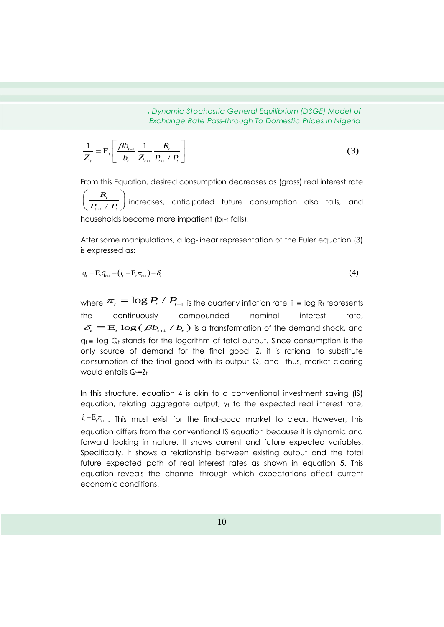$$
\frac{1}{Z_{t}} = E_{t} \left[ \frac{\beta b_{t+1}}{b_{t}} \frac{1}{Z_{t+1}} \frac{R_{t}}{P_{t+1} / P_{t}} \right]
$$
(3)

From this Equation, desired consumption decreases as (gross) real interest rate  $\frac{K_t}{\frac{1}{2}}$  $t+1$  /  $\boldsymbol{I}_t$ *R*  $\left(\frac{R_{_{\ell}}}{P_{_{\ell+1}} \mathop / P_{_{\ell}}}\right)$ increases, anticipated future consumption also falls, and households become more impatient  $(b_{t+1}$  falls).

After some manipulations, a log-linear representation of the Euler equation (3) is expressed as:

$$
q_{i} = E_{i}q_{i+1} - (i_{i} - E_{i}\pi_{i+1}) - \delta_{i}
$$
\n(4)

where  $\pi_{_t} = \log P_{_t} / P_{_{t+1}}$  is the quarterly inflation rate, i = log Rt represents the continuously compounded nominal interest rate,  $\delta_i \equiv E_i \log(\beta b_{i+1}/b_i)$  is a transformation of the demand shock, and  $q_t$  = log  $Q_t$  stands for the logarithm of total output. Since consumption is the only source of demand for the final good, Z, it is rational to substitute consumption of the final good with its output Q, and thus, market clearing would entails  $Q_t = Z_t$ 

In this structure, equation 4 is akin to a conventional investment saving (IS) equation, relating aggregate output,  $y<sub>t</sub>$  to the expected real interest rate,

 $i_{\scriptscriptstyle{I}}$  -  $\mathrm{E}_{\scriptscriptstyle{I}}$   $\pi_{\scriptscriptstyle{I\!+\!1}}$  . This must exist for the final-good market to clear. However, this equation differs from the conventional IS equation because it is dynamic and forward looking in nature. It shows current and future expected variables. Specifically, it shows a relationship between existing output and the total future expected path of real interest rates as shown in equation 5. This equation reveals the channel through which expectations affect current economic conditions.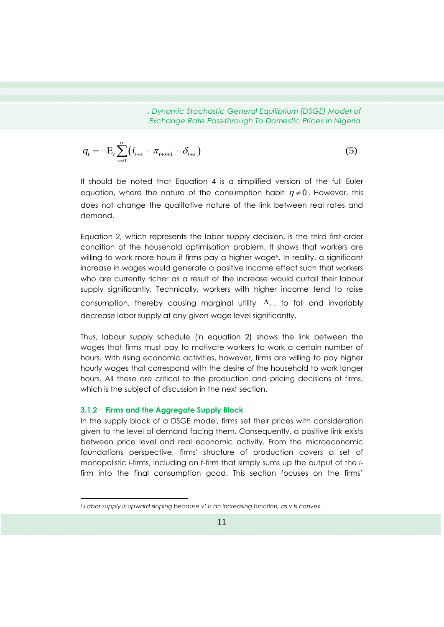$$
q_{t} = -\mathrm{E}_{t} \sum_{s=0}^{\alpha} (i_{t+s} - \pi_{t+s+1} - \delta_{t+s})
$$
\n(5)

It should be noted that Equation 4 is a simplified version of the full Euler equation, where the nature of the consumption habit  $\eta \neq 0$ . However, this does not change the qualitative nature of the link between real rates and demand.

Equation 2, which represents the labor supply decision, is the third first-order condition of the household optimisation problem. It shows that workers are willing to work more hours if firms pay a higher wage<sup>5</sup>. In reality, a significant increase in wages would generate a positive income effect such that workers who are currently richer as a result of the increase would curtail their labour supply significantly. Technically, workers with higher income tend to raise consumption, thereby causing marginal utility  $\Lambda_t$ , to fall and invariably decrease labor supply at any given wage level significantly.

Thus, labour supply schedule (in equation 2) shows the link between the wages that firms must pay to motivate workers to work a certain number of hours. With rising economic activities, however, firms are willing to pay higher hourly wages that correspond with the desire of the household to work longer hours. All these are critical to the production and pricing decisions of firms, which is the subject of discussion in the next section.

#### **3.1.2 Firms and the Aggregate Supply Block**

1

In the supply block of a DSGE model, firms set their prices with consideration given to the level of demand facing them. Consequently, a positive link exists between price level and real economic activity. From the microeconomic foundations perspective, firms' structure of production covers a set of monopolistic *i*-firms, including an *f*-firm that simply sums up the output of the *i*firm into the final consumption good. This section focuses on the firms'

*<sup>5</sup> Labor supply is upward sloping because v' is an increasing function, as v is convex.*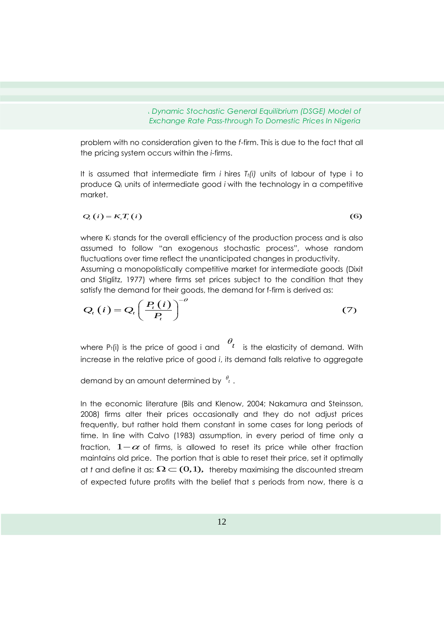problem with no consideration given to the *f*-firm. This is due to the fact that all the pricing system occurs within the *i*-firms.

It is assumed that intermediate firm *i* hires *Tt(i)* units of labour of type i to produce Q<sup>i</sup> units of intermediate good *i* with the technology in a competitive market.

$$
Q_i(i) = K_i T_i(i)
$$
\n
$$
(6)
$$

where K<sub>i</sub> stands for the overall efficiency of the production process and is also assumed to follow "an exogenous stochastic process", whose random fluctuations over time reflect the unanticipated changes in productivity. Assuming a monopolistically competitive market for intermediate goods (Dixit and Stiglitz, 1977) where firms set prices subject to the condition that they

satisfy the demand for their goods, the demand for f-firm is derived as:  
\n
$$
Q_{t}(i) = Q_{t}\left(\frac{P_{t}(i)}{P_{t}}\right)^{-\theta}
$$
\n(7)

where P<sub>t</sub>(i) is the price of good i and  $\theta$  is the elasticity of demand. With increase in the relative price of good *i*, its demand falls relative to aggregate

demand by an amount determined by  $\theta_t$ .

In the economic literature (Bils and Klenow, 2004; Nakamura and Steinsson, 2008) firms alter their prices occasionally and they do not adjust prices frequently, but rather hold them constant in some cases for long periods of time. In line with Calvo (1983) assumption, in every period of time only a fraction,  $1-\alpha$  of firms, is allowed to reset its price while other fraction maintains old price. The portion that is able to reset their price, set it optimally at *t* and define it as:  $\Omega$   $\subset$  (0,1), thereby maximising the discounted stream of expected future profits with the belief that *s* periods from now, there is a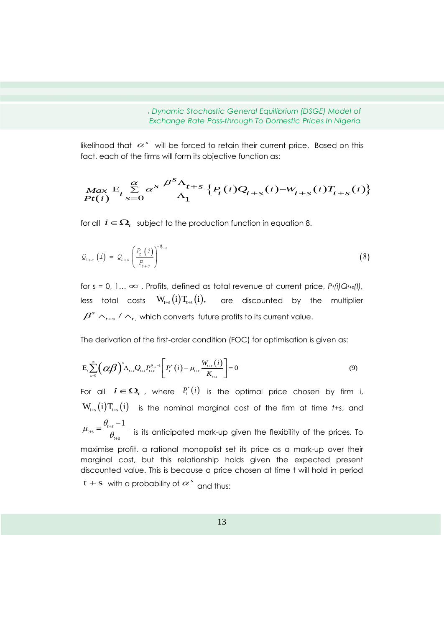likelihood that  $\alpha^s$  will be forced to retain their current price. Based on this fact, each of the firms will form its objective function as:

$$
\underset{Pt(i)}{\text{Max}} \mathbf{E}_{t} \sum_{s=0}^{\alpha} \alpha^{s} \frac{\beta^{s} \Lambda_{t+s}}{\Lambda_{1}} \Big\{ P_{t}(i) Q_{t+s}(i) - W_{t+s}(i) T_{t+s}(i) \Big\}
$$

for all  $i \in \Omega$ , subject to the production function in equation 8.

$$
\mathcal{Q}_{t+s}\left(\dot{\mathbf{I}}\right) = \mathcal{Q}_{t+s}\left(\frac{P_t\left(\dot{\mathbf{I}}\right)}{P_{t+s}}\right)^{-\theta_{t+s}}
$$
\n(8)

for  $s = 0, 1... \infty$  . Profits, defined as total revenue at current price,  $P_t(i)Q_{t+s}(l)$ , less total costs  $\mathrm{W_{t+s}}(\mathrm{i}) \mathrm{T_{t+s}}(\mathrm{i}),$  are discounted by the multiplier  $\beta^{s} \wedge_{\iota + s}$  /  $\wedge_{\iota}$  which converts future profits to its current value.

The derivation of the first-order condition (FOC) for optimisation is given as:

The derivation of the first-order condition (FUC) for optimization is given as:  
\n
$$
E_i \sum_{s=0}^{\infty} (\alpha \beta)^{s} \Lambda_{i+s} Q_{i+s} P_{i+s}^{\theta_{i+1}} \left[ P_i^*(i) - \mu_{i+s} \frac{W_{i+s}(i)}{K_{i+s}} \right] = 0
$$
\n(9)

For all  $i \in \Omega$ , where  $P_i^*(i)$  is the optimal price chosen by firm i,  $W_{_{t+s}}(i)T_{_{t+s}}(i)$  is the nominal marginal cost of the firm at time *t+s,* and  $t + s$  $\mu_{t+s} = \frac{\theta_{t+s} - 1}{\theta_{t}}$  $_{+s} = \frac{v_{t+1}}{t}$  $\ddot{}$  $=\frac{\theta_{t+s}-\theta_{t+s}}{2}$  $\overline{a_{t+sp}}$  is its anticipated mark-up given the flexibility of the prices. To maximise profit, a rational monopolist set its price as a mark-up over their marginal cost, but this relationship holds given the expected present

discounted value. This is because a price chosen at time t will hold in period  $\mathsf{t} + \mathsf{s} \;\;$  with a probability of  $\alpha^s \;$  and thus:

13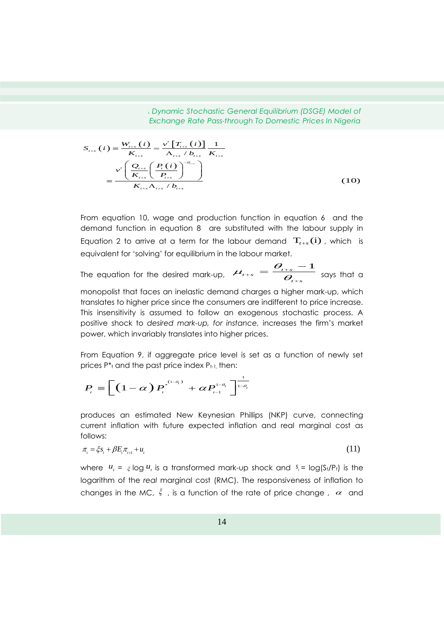$$
S_{_{t+s}}(i) = \frac{W_{_{t+s}}(i)}{K_{_{t+s}}} = \frac{\nu'}{N_{_{t+s}}/b_{_{t+s}}}\frac{1}{K_{_{t+s}}}
$$

$$
= \frac{\nu'}{K_{_{t+s}}\left(\frac{P_{t}(i)}{P_{_{t+s}}}\right)^{-\theta_{_{t+s}}}}{K_{_{t+s}}\sqrt{P_{_{t+s}}/b_{_{t+s}}}}
$$
(10)

From equation 10, wage and production function in equation 6 and the demand function in equation 8 are substituted with the labour supply in Equation 2 to arrive at a term for the labour demand  $\mathrm{T}_{t+s}(\mathrm{i})$  , which is equivalent for 'solving' for equilibrium in the labour market.

The equation for the desired mark-up,  $\theta_{t+s} = \frac{\theta_{t+s} - 1}{\theta}$ *t s*  $\boldsymbol{\varTheta}$  $\mu_{_{t+s}} = \frac{1}{\theta}$  $\frac{1}{t+s} = \frac{\theta_{t+s}}{2}$  $^{+}$  $=\frac{\theta_{t+s}-1}{\theta}$  says that a monopolist that faces an inelastic demand charges a higher mark-up, which

translates to higher price since the consumers are indifferent to price increase. This insensitivity is assumed to follow an exogenous stochastic process. A positive shock to *desired mark-up, for instance,* increases the firm's market power, which invariably translates into higher prices.

From Equation 9, if aggregate price level is set as a function of newly set prices  $P^*$ <sub>t</sub> and the past price index  $P_{t-1}$ , then:

$$
P_{i} = \left[ \left( 1 - \alpha \right) P_{i}^{(1 - \theta_{i})} + \alpha P_{i-1}^{1 - \theta_{i}} \right]_{i = \theta_{i}}
$$

produces an estimated New Keynesian Phillips (NKP) curve, connecting current inflation with future expected inflation and real marginal cost as follows:  $\pi_i = \xi s_i + \beta E_i \pi_{i+1} + u_i$ ows:<br>=  $\xi s_i + \beta E_i \pi_{i+1} + u_i$ 

$$
\pi_{i} = \xi s_{i} + \beta E_{i} \pi_{i+1} + u_{i} \tag{11}
$$

where  $u_t = \xi \log u_t$  is a transformed mark-up shock and  $s_t = \log(S_t/P_t)$  is the logarithm of the *real* marginal cost (RMC). The responsiveness of inflation to changes in the MC,  $\zeta$ , is a function of the rate of price change,  $\alpha$  and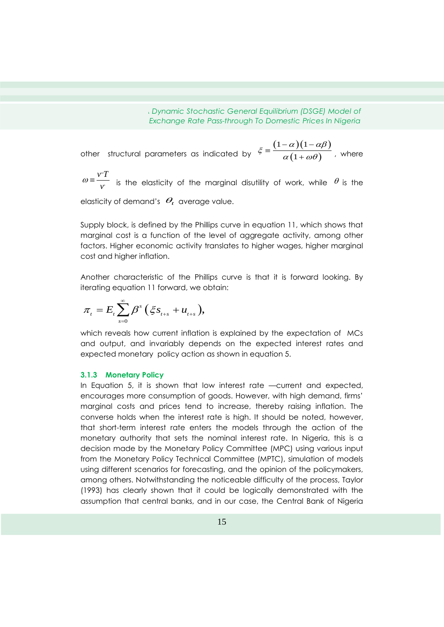other structural parameters as indicated by  $(1-\alpha)(1-\alpha\beta)$  $(1+\omega\theta)$  $(1-\alpha)(1)$ 1  $\xi = \frac{(1-\alpha)(1-\alpha\beta)}{\alpha(1+\omega\theta)}$  $\equiv \frac{(1-\alpha)(1-\alpha)}{2\alpha}$  $+\omega\theta$ ) , where

,,  $\omega \equiv \frac{v^{n}T}{v^{n}}$  $\overline{v}$  is the elasticity of the marginal disutility of work, while  $\theta$  is the elasticity of demand's  $\mathbf{\left.{\theta_{t}}\right.}$  average value.

Supply block, is defined by the Phillips curve in equation 11, which shows that marginal cost is a function of the level of aggregate activity, among other factors. Higher economic activity translates to higher wages, higher marginal cost and higher inflation.

Another characteristic of the Phillips curve is that it is forward looking. By iterating equation 11 forward, we obtain:

$$
\pi_{t} = E_{t} \sum_{s=0}^{\infty} \beta^{s} \left( \xi s_{t+s} + u_{t+s} \right),
$$

which reveals how current inflation is explained by the expectation of MCs and output, and invariably depends on the expected interest rates and expected monetary policy action as shown in equation 5.

#### **3.1.3 Monetary Policy**

In Equation 5, it is shown that low interest rate —current and expected, encourages more consumption of goods. However, with high demand, firms' marginal costs and prices tend to increase, thereby raising inflation. The converse holds when the interest rate is high. It should be noted, however, that short-term interest rate enters the models through the action of the monetary authority that sets the nominal interest rate. In Nigeria, this is a decision made by the Monetary Policy Committee (MPC) using various input from the Monetary Policy Technical Committee (MPTC), simulation of models using different scenarios for forecasting, and the opinion of the policymakers, among others. Notwithstanding the noticeable difficulty of the process, Taylor (1993) has clearly shown that it could be logically demonstrated with the assumption that central banks, and in our case, the Central Bank of Nigeria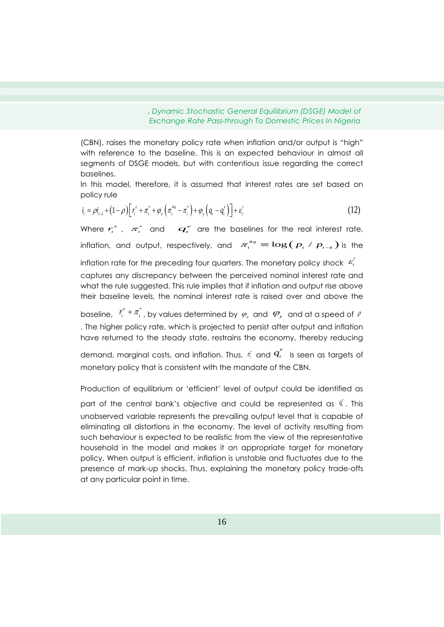(CBN), raises the monetary policy rate when inflation and/or output is "high" with reference to the baseline. This is an expected behaviour in almost all segments of DSGE models, but with contentious issue regarding the correct baselines.

In this model, therefore, it is assumed that interest rates are set based on policy rule

$$
\text{policy rule}
$$
\n
$$
i_{t} = \rho i_{t-1} + (1-\rho) \left[ r_{t}^{e} + \pi_{t}^{*} + \varphi_{\pi} \left( \pi_{t}^{4q} - \pi_{t}^{*} \right) + \varphi_{y} \left( q_{t} - q_{t}^{e} \right) \right] + \varepsilon_{t}^{i}
$$
\n
$$
(12)
$$

Where  $r_i^e$  ,  $\pi_i^*$  and  $\mathbf{q}_i^e$  are the baselines for the real interest rate, inflation, and output, respectively, and  $\pi^{4q}_i \equiv \log \left( \frac{P}{P_i} / P_{i-4} \right)$  is the

inflation rate for the preceding four quarters. The monetary policy shock  $\vert\boldsymbol{\varepsilon}_i^{\prime}\vert$ *t* captures any discrepancy between the perceived nominal interest rate and what the rule suggested. This rule implies that if inflation and output rise above their baseline levels, the nominal interest rate is raised over and above the

baseline,  $r_t^e + \pi_t^*$  $r_{_t}^{_e}+\pi_{_t}^{^*}$  , by values determined by  $\,\varphi_{_{\pi}}\,$  and  $\,\varphi_{_{\mathrm{y}}} \,$  and at a speed of  $\,\varphi$ . The higher policy rate, which is projected to persist after output and inflation have returned to the steady state, restrains the economy, thereby reducing

demand, marginal costs, and inflation. Thus,  $\pi$ , and  $\boldsymbol{q}_t^e$  $q_{\scriptscriptstyle t}^{\scriptscriptstyle e}$  is seen as targets of monetary policy that is consistent with the mandate of the CBN.

Production of equilibrium or 'efficient' level of output could be identified as

part of the central bank's objective and could be represented as  $q_t^{\ell}$  $q_t$ . This unobserved variable represents the prevailing output level that is capable of eliminating all distortions in the economy. The level of activity resulting from such behaviour is expected to be realistic from the view of the representative household in the model and makes it an appropriate target for monetary policy. When output is efficient, inflation is unstable and fluctuates due to the presence of mark-up shocks. Thus, explaining the monetary policy trade-offs at any particular point in time.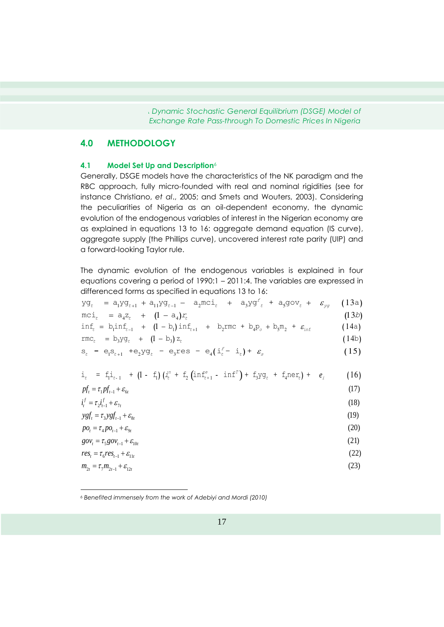# **4.0 METHODOLOGY**

#### **4.1 Model Set Up and Description**<sup>6</sup>

Generally, DSGE models have the characteristics of the NK paradigm and the RBC approach, fully micro-founded with real and nominal rigidities (see for instance Christiano, *et al*., 2005; and Smets and Wouters, 2003). Considering the peculiarities of Nigeria as an oil-dependent economy, the dynamic evolution of the endogenous variables of interest in the Nigerian economy are as explained in equations 13 to 16: aggregate demand equation (IS curve), aggregate supply (the Phillips curve), uncovered interest rate parity (UIP) and a forward-looking Taylor rule.

The dynamic evolution of the endogenous variables is explained in four equations covering a period of 1990:1 – 2011:4. The variables are expressed in differenced forms as specified in equations 13 to 16: The dynamic evolution of the endogenous variables is explained in four<br>equations covering a period of 1990:1 – 2011:4. The variables are expressed in<br>differenced forms as specified in equations 13 to 16:<br> $yg_t = a_1yg_{t+1} + a_{1$ 

| equations covering a period of 1990:1 – 2011:4. The variables are expressed in                                                                                                                               |       |
|--------------------------------------------------------------------------------------------------------------------------------------------------------------------------------------------------------------|-------|
| differenced forms as specified in equations 13 to 16:                                                                                                                                                        |       |
| $yg_t = a_1yg_{t+1} + a_{11}yg_{t-1} - a_2mc_i + a_3yg_t^f + a_5gov_t + \varepsilon_{v\sigma}$ (13a)                                                                                                         |       |
| $mci_t = a_4 z_t + (1 - a_4) r_t$                                                                                                                                                                            | (13b) |
| $inf_{t}$ = b <sub>1</sub> inf <sub>t-1</sub> + (1 - b <sub>1</sub> ) inf <sub>t+1</sub> + b <sub>2</sub> rmc + b <sub>4</sub> p <sub>o</sub> + b <sub>5</sub> m <sub>2</sub> + $\varepsilon$ <sub>inf</sub> | (14a) |
| $\text{rmc}_{t} = b_3 y g_t + (1 - b_3) z_t$                                                                                                                                                                 | (14b) |
| $s_t = e_1 s_{t+1} + e_2 y g_t - e_3$ res - $e_4(i_t^t - i_t) + \varepsilon_s$                                                                                                                               | (15)  |
|                                                                                                                                                                                                              |       |

$$
s_{t} = e_{1} s_{t+1} + e_{2} y g_{t} - e_{3} \text{res} - e_{4} (\dot{1}_{t}^{f} - \dot{1}_{t}) + \varepsilon_{s}
$$
 (15)

| $\text{rmc}_{t} = b_{3}yq_{t} + (1 - b_{3})z_{t}$                                                    | (14b) |
|------------------------------------------------------------------------------------------------------|-------|
| $s_t = e_1 s_{t+1} + e_2 y g_t - e_3 res - e_4(i_t^2 - i_t) + \varepsilon_s$                         | (15)  |
| $i_t = f_1 i_{t-1} + (1 - f_1)(i_t^n + f_2 (inf_{t+1}^e - inf_i^n) + f_3 y g_t + f_4 n e r_t) + e_1$ | (16)  |
| $pf_t = \tau_1 pf_{t-1} + \varepsilon_{6t}$                                                          | (17)  |
| $i_t^f = \tau_2 i_{t-1}^f + \varepsilon_{7t}$                                                        | (18)  |
| $\mathbf{r} = \mathbf{r}$                                                                            | (10)  |

$$
pf_{t} = \tau_{1}pf_{t-1} + \varepsilon_{6t}
$$
  
\n
$$
if_{t} = \tau_{2}if_{t-1} + \varepsilon_{6t}
$$
  
\n
$$
if_{t} = \tau_{2}if_{t-1} + \varepsilon_{6t}
$$
  
\n
$$
ygf_{t} = \tau_{3}ygf_{t-1} + \varepsilon_{8t}
$$
  
\n
$$
po_{t} = \tau_{4}po_{t-1} + \varepsilon_{9t}
$$
  
\n
$$
gov_{t} = \tau_{5}gov_{t-1} + \varepsilon_{10t}
$$
  
\n(21)  
\n(22)

- (20) -
- $= \tau_4 po_{t-1} + \varepsilon_{9t}$ <br>  $\tau_t = \tau_5 gov_{t-1} + \varepsilon_{10t}$  $(21)$
- $res_{t} = \tau_{6} res_{t-1} + \varepsilon_{11t}$  $p_0$ <sub>*t*</sub> =  $\tau_4 p_0$ <sub>*t*-1</sub> +  $\varepsilon_{9t}$ <br>  $g_0 v_t$  =  $\tau_5 g_0 v_{t-1}$  +  $\varepsilon_{10t}$ <br>  $res_t$  =  $\tau_6 res_{t-1}$  +  $\varepsilon_{11t}$  (22)  $gov_t = \tau_s gov_{t-1} + \varepsilon_{10t}$ <br>  $gov_t = \tau_s gov_{t-1} + \varepsilon_{10t}$  (21)<br>  $res_t = \tau_s res_{t-1} + \varepsilon_{11t}$  (22)<br>  $m_{2t} = \tau_7 m_{2t-1} + \varepsilon_{12t}$  (23)
- $m_{2t} = \tau_7 m_{2t-1} + \varepsilon_{12t}$

<sup>&</sup>lt;u>.</u> *<sup>6</sup> Benefited immensely from the work of Adebiyi and Mordi (2010)*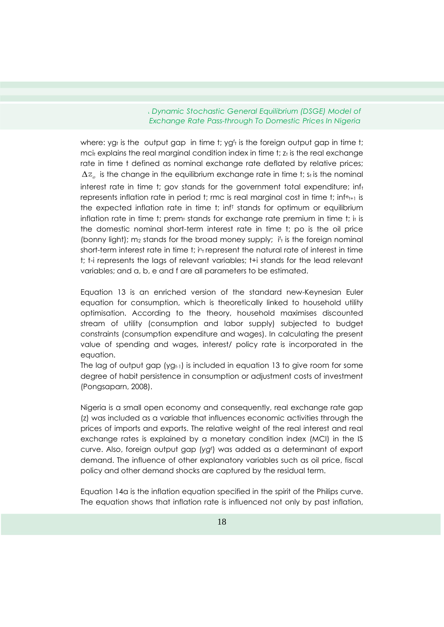where:  $yg<sub>f</sub>$  is the output gap in time t;  $yg<sub>f<sub>f</sub></sub>$  is the foreign output gap in time t; mci<sub>t</sub> explains the real marginal condition index in time  $t$ ;  $z<sub>t</sub>$  is the real exchange rate in time t defined as nominal exchange rate deflated by relative prices;  $\Delta z_{e}$  is the change in the equilibrium exchange rate in time t; s<sub>t</sub> is the nominal interest rate in time t; gov stands for the government total expenditure; inf<sup>t</sup> represents inflation rate in period t; rmc is real marginal cost in time t; infe<sub>t+1</sub> is the expected inflation rate in time t; inf<sup>T</sup> stands for optimum or equilibrium inflation rate in time t; prem<sub>t</sub> stands for exchange rate premium in time t; i<sub>t</sub> is the domestic nominal short-term interest rate in time t; po is the oil price (bonny light); m<sub>2</sub> stands for the broad money supply; if is the foreign nominal short-term interest rate in time t; in represent the natural rate of interest in time t; t-i represents the lags of relevant variables; t+i stands for the lead relevant variables; and a, b, e and f are all parameters to be estimated.

Equation 13 is an enriched version of the standard new-Keynesian Euler equation for consumption, which is theoretically linked to household utility optimisation. According to the theory, household maximises discounted stream of utility (consumption and labor supply) subjected to budget constraints (consumption expenditure and wages). In calculating the present value of spending and wages, interest/ policy rate is incorporated in the equation.

The lag of output gap  $(yg_{t-1})$  is included in equation 13 to give room for some degree of habit persistence in consumption or adjustment costs of investment (Pongsaparn, 2008).

Nigeria is a small open economy and consequently, real exchange rate gap (z) was included as a variable that influences economic activities through the prices of imports and exports. The relative weight of the real interest and real exchange rates is explained by a monetary condition index (MCI) in the IS curve. Also, foreign output gap (*ygf*) was added as a determinant of export demand. The influence of other explanatory variables such as oil price, fiscal policy and other demand shocks are captured by the residual term.

Equation 14a is the inflation equation specified in the spirit of the Philips curve. The equation shows that inflation rate is influenced not only by past inflation,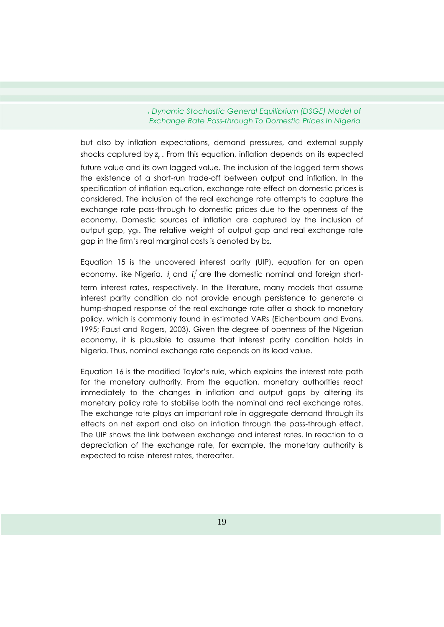but also by inflation expectations, demand pressures, and external supply shocks captured by *t z* . From this equation, inflation depends on its expected future value and its own lagged value. The inclusion of the lagged term shows the existence of a short-run trade-off between output and inflation. In the specification of inflation equation, exchange rate effect on domestic prices is considered. The inclusion of the real exchange rate attempts to capture the exchange rate pass-through to domestic prices due to the openness of the economy. Domestic sources of inflation are captured by the inclusion of output gap, ygt. The relative weight of output gap and real exchange rate gap in the firm's real marginal costs is denoted by b2.

Equation 15 is the uncovered interest parity (UIP), equation for an open economy, like Nigeria.  $i_t$  and  $i_t'$  $i_t^{\prime}$  are the domestic nominal and foreign shortterm interest rates, respectively. In the literature, many models that assume interest parity condition do not provide enough persistence to generate a hump-shaped response of the real exchange rate after a shock to monetary policy, which is commonly found in estimated VARs (Eichenbaum and Evans, 1995; Faust and Rogers, 2003). Given the degree of openness of the Nigerian economy, it is plausible to assume that interest parity condition holds in Nigeria. Thus, nominal exchange rate depends on its lead value.

Equation 16 is the modified Taylor's rule, which explains the interest rate path for the monetary authority. From the equation, monetary authorities react immediately to the changes in inflation and output gaps by altering its monetary policy rate to stabilise both the nominal and real exchange rates. The exchange rate plays an important role in aggregate demand through its effects on net export and also on inflation through the pass-through effect. The UIP shows the link between exchange and interest rates. In reaction to a depreciation of the exchange rate, for example, the monetary authority is expected to raise interest rates, thereafter.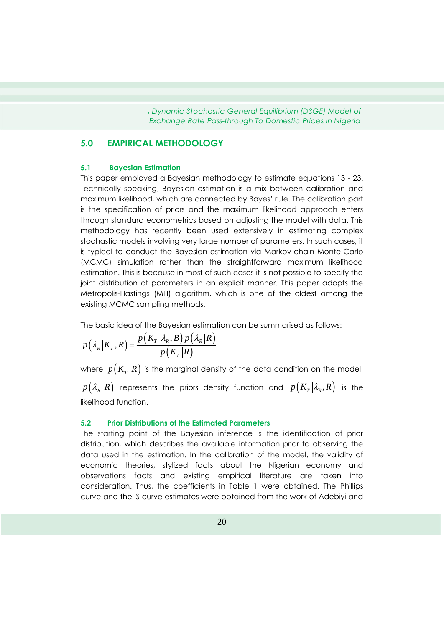# **5.0 EMPIRICAL METHODOLOGY**

#### **5.1 Bayesian Estimation**

This paper employed a Bayesian methodology to estimate equations 13 - 23. Technically speaking, Bayesian estimation is a mix between calibration and maximum likelihood, which are connected by Bayes' rule. The calibration part is the specification of priors and the maximum likelihood approach enters through standard econometrics based on adjusting the model with data. This methodology has recently been used extensively in estimating complex stochastic models involving very large number of parameters. In such cases, it is typical to conduct the Bayesian estimation via Markov-chain Monte-Carlo (MCMC) simulation rather than the straightforward maximum likelihood estimation. This is because in most of such cases it is not possible to specify the joint distribution of parameters in an explicit manner. This paper adopts the Metropolis-Hastings (MH) algorithm, which is one of the oldest among the existing MCMC sampling methods.

The basic idea of the Bayesian estimation can be summarised as follows:<br>  $p(A \mid K - B) = P(K_T | \lambda_R, B) p(\lambda_R | R)$ 

$$
p\left(\lambda_{R}|K_{T}, R\right) = \frac{p\left(K_{T}|\lambda_{R}, B\right) p\left(\lambda_{R}|R\right)}{p\left(K_{T}|R\right)}
$$

where  $\;p\bigl(K_{_{T}}|R\bigr)$  is the marginal density of the data condition on the model,

 $p\big(\mathcal{X}_\mathcal{R}\big|\mathcal{R}\big)$  represents the priors density function and  $p\big(K_\mathcal{T}|\mathcal{X}_\mathcal{R},\mathcal{R}\big)$  is the likelihood function.

#### **5.2 Prior Distributions of the Estimated Parameters**

The starting point of the Bayesian inference is the identification of prior distribution, which describes the available information prior to observing the data used in the estimation. In the calibration of the model, the validity of economic theories, stylized facts about the Nigerian economy and observations facts and existing empirical literature are taken into consideration. Thus, the coefficients in Table 1 were obtained. The Phillips curve and the IS curve estimates were obtained from the work of Adebiyi and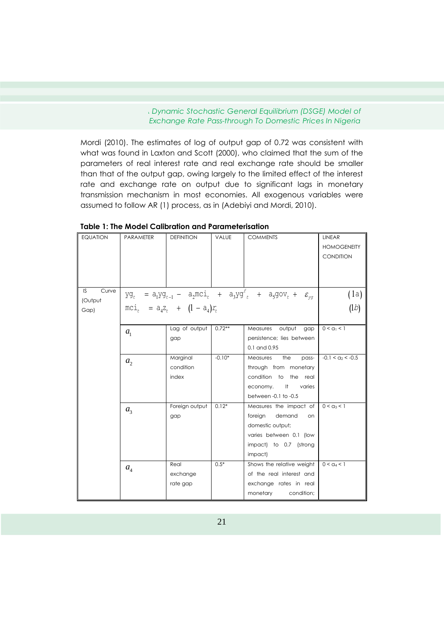Mordi (2010). The estimates of log of output gap of 0.72 was consistent with what was found in Laxton and Scott (2000), who claimed that the sum of the parameters of real interest rate and real exchange rate should be smaller than that of the output gap, owing largely to the limited effect of the interest rate and exchange rate on output due to significant lags in monetary transmission mechanism in most economies. All exogenous variables were assumed to follow AR (1) process, as in (Adebiyi and Mordi, 2010).

| <b>EQUATION</b>         | <b>PARAMETER</b>            | <b>DEFINITION</b>                 | VALUE    | <b>COMMENTS</b>                                                                      | <b>LINEAR</b>            |
|-------------------------|-----------------------------|-----------------------------------|----------|--------------------------------------------------------------------------------------|--------------------------|
|                         |                             |                                   |          |                                                                                      | <b>HOMOGENEITY</b>       |
|                         |                             |                                   |          |                                                                                      | <b>CONDITION</b>         |
|                         |                             |                                   |          |                                                                                      |                          |
|                         |                             |                                   |          |                                                                                      |                          |
| IS.<br>Curve<br>(Output |                             |                                   |          | $yg_t = a_1 Y g_{t-1} - a_2 mc i_t + a_3 Y g_{t}^{f} + a_5 g v_t + \varepsilon_{yq}$ | (la)                     |
| Gap)                    |                             | $mci_t = a_4 z_t + (1 - a_4) r_t$ |          |                                                                                      | (1b)                     |
|                         |                             |                                   |          |                                                                                      |                          |
|                         | $a_{1}$                     | Lag of output                     | $0.72**$ | output<br>Measures<br>gap                                                            | $0 < a_1 < 1$            |
|                         |                             | gap                               |          | persistence; lies between                                                            |                          |
|                         |                             |                                   |          | 0.1 and 0.95                                                                         |                          |
|                         | $a_{2}$                     | Marginal                          | $-0.10*$ | the<br>Measures<br>pass-                                                             | $-0.1 < \alpha_2 < -0.5$ |
|                         |                             | condition                         |          | through from monetary                                                                |                          |
|                         |                             | index                             |          | condition to the real                                                                |                          |
|                         |                             |                                   |          | <br>economy.<br>varies                                                               |                          |
|                         |                             |                                   |          | between -0.1 to -0.5                                                                 |                          |
|                         | $a_{3}$                     | Foreign output                    | $0.12*$  | Measures the impact of                                                               | $0 < \alpha_3 < 1$       |
|                         |                             | gap                               |          | foreign<br>demand<br>on.                                                             |                          |
|                         |                             |                                   |          | domestic output;                                                                     |                          |
|                         |                             |                                   |          | varies between 0.1 (low                                                              |                          |
|                         |                             |                                   |          | impact) to 0.7 (strong                                                               |                          |
|                         |                             |                                   |          | impact)                                                                              |                          |
|                         | $a_{\scriptscriptstyle{A}}$ | Real                              | $0.5*$   | Shows the relative weight                                                            | $0 < a_4 < 1$            |
|                         |                             | exchange                          |          | of the real interest and                                                             |                          |
|                         |                             | rate gap                          |          | exchange rates in real                                                               |                          |
|                         |                             |                                   |          | condition;<br>monetary                                                               |                          |

**Table 1: The Model Calibration and Parameterisation**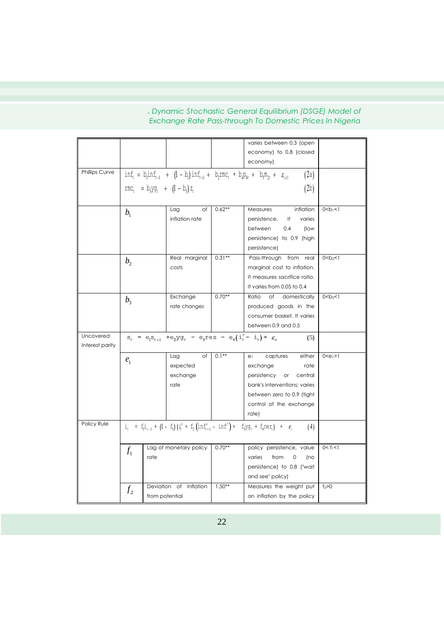|                              |                |                |                                                                              |          | varies between 0.3 (open                                                                                                                                                                                                     |                        |
|------------------------------|----------------|----------------|------------------------------------------------------------------------------|----------|------------------------------------------------------------------------------------------------------------------------------------------------------------------------------------------------------------------------------|------------------------|
|                              |                |                |                                                                              |          | economy) to 0.8 (closed                                                                                                                                                                                                      |                        |
|                              |                |                |                                                                              |          | economy)                                                                                                                                                                                                                     |                        |
| Phillips Curve               |                |                |                                                                              |          | $inf_{t}$ = b <sub>1</sub> inf <sub>t-1</sub> + (1 - b <sub>1</sub> ) $inf_{t+1}$ + b <sub>2</sub> rmc <sub>t</sub> + b <sub>4</sub> P <sub>0t</sub> + b <sub>3</sub> m <sub>2t</sub> + $\varepsilon$ <sub>inf</sub><br>(2a) |                        |
|                              |                |                | $\text{rmc}_{t} = b_{3}yg_{t} + (1-b_{3})z_{t}$                              |          | (2b)                                                                                                                                                                                                                         |                        |
|                              |                |                |                                                                              |          |                                                                                                                                                                                                                              |                        |
|                              | b <sub>1</sub> |                | of<br>Lag                                                                    | $0.62**$ | Measures<br>inflation                                                                                                                                                                                                        | 0 < b <sub>1</sub> < 1 |
|                              |                |                | inflation rate                                                               |          | <br>persistence.<br>varies                                                                                                                                                                                                   |                        |
|                              |                |                |                                                                              |          | 0.4<br>between<br>(low                                                                                                                                                                                                       |                        |
|                              |                |                |                                                                              |          | persistence) to 0.9 (high                                                                                                                                                                                                    |                        |
|                              |                |                |                                                                              |          | persistence)                                                                                                                                                                                                                 |                        |
|                              | b <sub>2</sub> |                | Real marginal                                                                | $0.31**$ | Pass-through from real                                                                                                                                                                                                       | 0 < b <sub>2</sub> < 1 |
|                              |                |                | costs                                                                        |          | marginal cost to inflation.                                                                                                                                                                                                  |                        |
|                              |                |                |                                                                              |          | It measures sacrifice ratio.<br>It varies from 0.05 to 0.4                                                                                                                                                                   |                        |
|                              |                |                | Exchange                                                                     | $0.70**$ | Ratio of domestically                                                                                                                                                                                                        | 0 < b <sub>3</sub> < 1 |
|                              | $b_{3}$        |                | rate changes                                                                 |          | produced goods in the                                                                                                                                                                                                        |                        |
|                              |                |                |                                                                              |          | consumer basket. It varies                                                                                                                                                                                                   |                        |
|                              |                |                |                                                                              |          | between 0.9 and 0.5                                                                                                                                                                                                          |                        |
| Uncovered<br>Interest parity |                |                | $s_t = e_1 s_{t+1} + e_2 y g_t - e_3 res - e_4(i_t^f - i_t) + \varepsilon_s$ |          | (5)                                                                                                                                                                                                                          |                        |
|                              |                |                | $\circ$ f<br>Lag                                                             | $0.1***$ | captures<br>either<br>e <sub>1</sub>                                                                                                                                                                                         | $0 < e_1 > 1$          |
|                              | $e_1$          |                | expected                                                                     |          | exchange<br>rate                                                                                                                                                                                                             |                        |
|                              |                |                | exchange                                                                     |          | persistency or central                                                                                                                                                                                                       |                        |
|                              |                |                | rate                                                                         |          | bank's interventions; varies                                                                                                                                                                                                 |                        |
|                              |                |                |                                                                              |          | between zero to 0.9 (tight                                                                                                                                                                                                   |                        |
|                              |                |                |                                                                              |          | control of the exchange                                                                                                                                                                                                      |                        |
|                              |                |                |                                                                              |          | rate)                                                                                                                                                                                                                        |                        |
| Policy Rule                  |                |                |                                                                              |          | $i_{r}$ = $f_{i}i_{t-1} + (1 - f_{i})(i_{t}^{n} + f_{2}(inf_{t+1}^{e} - inf_{t}^{n}) + f_{3}yg_{t} + f_{4}ner_{t}) + e_{i}$<br>(4)                                                                                           |                        |
|                              |                |                | Lag of monetary policy                                                       | $0.70**$ | policy persistence, value                                                                                                                                                                                                    | $0 < f_1 < 1$          |
|                              | $f_1$          | rate           |                                                                              |          | varies<br>from<br>$\mathbf 0$<br>(no                                                                                                                                                                                         |                        |
|                              |                |                |                                                                              |          | persistence) to 0.8 ("wait                                                                                                                                                                                                   |                        |
|                              |                |                |                                                                              |          | and see" policy)                                                                                                                                                                                                             |                        |
|                              | $f_2$          |                | Deviation of Inflation                                                       | $1.50**$ | Measures the weight put                                                                                                                                                                                                      | $f_2 > 0$              |
|                              |                | from potential |                                                                              |          | on inflation by the policy                                                                                                                                                                                                   |                        |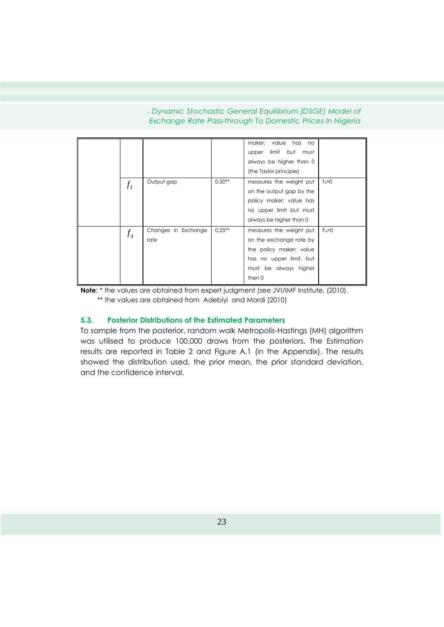|       |                             |          | maker; value has no<br>limit but must<br>upper<br>always be higher than 0<br>(the Taylor principle)                                         |           |
|-------|-----------------------------|----------|---------------------------------------------------------------------------------------------------------------------------------------------|-----------|
| $f_3$ | Output gap                  | $0.50**$ | measures the weight put<br>on the output gap by the<br>policy maker; value has<br>no upper limit but must<br>always be higher than 0        | $f_3 > 0$ |
| $f_4$ | Changes in Exchange<br>rate | $0.25**$ | measures the weight put<br>on the exchange rate by<br>the policy maker; value<br>has no upper limit, but<br>must be always higher<br>then 0 | $F_4>0$   |

**Note:** \* the values are obtained from expert judgment (see JVI/IMF Institute, (2010). \*\* the values are obtained from Adebiyi and Mordi (2010)

#### **5.3. Posterior Distributions of the Estimated Parameters**

To sample from the posterior, random walk Metropolis-Hastings (MH) algorithm was utilised to produce 100,000 draws from the posteriors. The Estimation results are reported in Table 2 and Figure A.1 (in the Appendix). The results showed the distribution used, the prior mean, the prior standard deviation, and the confidence interval.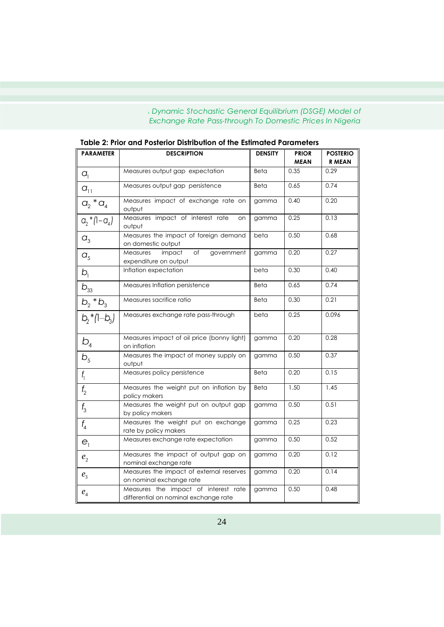| <b>PARAMETER</b>    | <b>DESCRIPTION</b>                                                            | <b>DENSITY</b> | <b>PRIOR</b><br><b>MEAN</b> | <b>POSTERIO</b><br><b>R MEAN</b> |
|---------------------|-------------------------------------------------------------------------------|----------------|-----------------------------|----------------------------------|
| $Q_1$               | Measures output gap expectation                                               | Beta           | 0.35                        | 0.29                             |
| ${\cal G}_{11}$     | Measures output gap persistence                                               | Beta           | 0.65                        | 0.74                             |
| $a_2 * a_4$         | Measures impact of exchange rate on<br>output                                 | gamma          | 0.40                        | 0.20                             |
| $a_2^*$ (1- $a_4$ ) | Measures impact of interest rate<br>on<br>output                              | gamma          | 0.25                        | 0.13                             |
| $\mathsf{C}_3$      | Measures the impact of foreign demand<br>on domestic output                   | beta           | 0.50                        | 0.68                             |
| ${\cal O}_5$        | impact<br>of<br>government<br>Measures<br>expenditure on output               | gamma          | 0.20                        | 0.27                             |
| b <sub>1</sub>      | Inflation expectation                                                         | beta           | 0.30                        | 0.40                             |
| $b_{33}$            | Measures Inflation persistence                                                | Beta           | 0.65                        | 0.74                             |
| $b_2 * b_3$         | Measures sacrifice ratio                                                      | Beta           | 0.30                        | 0.21                             |
| $b, -(1-b)$         | Measures exchange rate pass-through                                           | beta           | 0.25                        | 0.096                            |
| $b_4$               | Measures impact of oil price (bonny light)<br>on inflation                    | gamma          | 0.20                        | 0.28                             |
| $\mathsf{b}_5$      | Measures the impact of money supply on<br>output                              | gamma          | 0.50                        | 0.37                             |
| f <sub>1</sub>      | Measures policy persistence                                                   | Beta           | 0.20                        | 0.15                             |
| f <sub>2</sub>      | Measures the weight put on inflation by<br>policy makers                      | Beta           | 1.50                        | 1.45                             |
| $f_3$               | Measures the weight put on output gap<br>by policy makers                     | gamma          | 0.50                        | 0.51                             |
| $f_4$               | Measures the weight put on exchange<br>rate by policy makers                  | gamma          | 0.25                        | 0.23                             |
| $e_1$               | Measures exchange rate expectation                                            | gamma          | 0.50                        | 0.52                             |
| $e_{2}$             | Measures the impact of output gap on<br>nominal exchange rate                 | gamma          | 0.20                        | 0.12                             |
| $e_3$               | Measures the impact of external reserves<br>on nominal exchange rate          | gamma          | 0.20                        | 0.14                             |
| $e_4$               | Measures the impact of interest rate<br>differential on nominal exchange rate | gamma          | 0.50                        | 0.48                             |

## **Table 2: Prior and Posterior Distribution of the Estimated Parameters**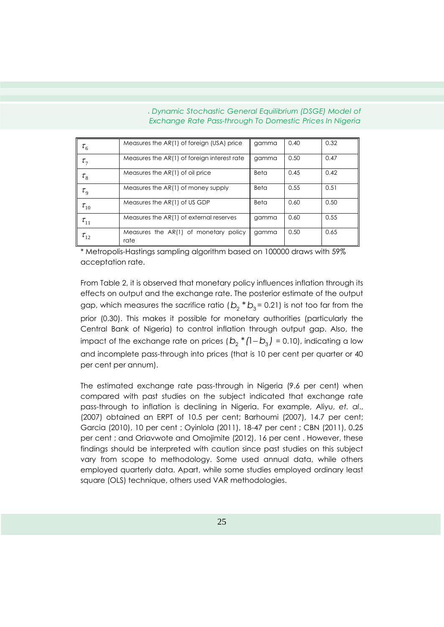| $\tau_{_6}$                       | Measures the AR(1) of foreign (USA) price     | gamma | 0.40 | 0.32 |
|-----------------------------------|-----------------------------------------------|-------|------|------|
| $\tau_{\scriptscriptstyle\gamma}$ | Measures the AR(1) of foreign interest rate   | gamma | 0.50 | 0.47 |
| $\tau_{_8}$                       | Measures the AR(1) of oil price               | Beta  | 0.45 | 0.42 |
| $\tau_{9}$                        | Measures the AR(1) of money supply            | Beta  | 0.55 | 0.51 |
| $\tau_{10}$                       | Measures the AR(1) of US GDP                  | Beta  | 0.60 | 0.50 |
| $\tau_{11}$                       | Measures the AR(1) of external reserves       | gamma | 0.60 | 0.55 |
| $\tau_{12}$                       | Measures the AR(1) of monetary policy<br>rate | gamma | 0.50 | 0.65 |

\* Metropolis-Hastings sampling algorithm based on 100000 draws with 59% acceptation rate.

From Table 2, it is observed that monetary policy influences inflation through its effects on output and the exchange rate. The posterior estimate of the output gap, which measures the sacrifice ratio ( $b_2$   $^*b_3$  = 0.21) is not too far from the prior (0.30). This makes it possible for monetary authorities (particularly the Central Bank of Nigeria) to control inflation through output gap. Also, the impact of the exchange rate on prices (  $b_2$   $\text{*}(l\!-\!b_3)$  = 0.10), indicating a low and incomplete pass-through into prices (that is 10 per cent per quarter or 40 per cent per annum).

The estimated exchange rate pass-through in Nigeria (9.6 per cent) when compared with past studies on the subject indicated that exchange rate pass-through to inflation is declining in Nigeria. For example, Aliyu, *et. al*., (2007) obtained an ERPT of 10.5 per cent; Barhoumi (2007), 14.7 per cent; Garcia (2010), 10 per cent ; Oyinlola (2011), 18-47 per cent ; CBN (2011), 0.25 per cent ; and Oriavwote and Omojimite (2012), 16 per cent . However, these findings should be interpreted with caution since past studies on this subject vary from scope to methodology. Some used annual data, while others employed quarterly data. Apart, while some studies employed ordinary least square (OLS) technique, others used VAR methodologies.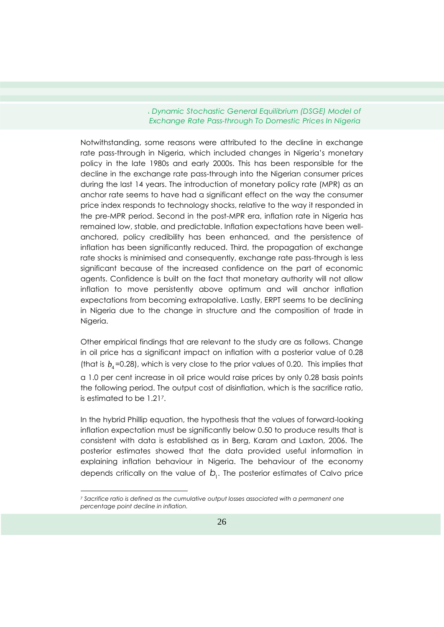Notwithstanding, some reasons were attributed to the decline in exchange rate pass-through in Nigeria, which included changes in Nigeria's monetary policy in the late 1980s and early 2000s. This has been responsible for the decline in the exchange rate pass-through into the Nigerian consumer prices during the last 14 years. The introduction of monetary policy rate (MPR) as an anchor rate seems to have had a significant effect on the way the consumer price index responds to technology shocks, relative to the way it responded in the pre-MPR period. Second in the post-MPR era, inflation rate in Nigeria has remained low, stable, and predictable. Inflation expectations have been wellanchored, policy credibility has been enhanced, and the persistence of inflation has been significantly reduced. Third, the propagation of exchange rate shocks is minimised and consequently, exchange rate pass-through is less significant because of the increased confidence on the part of economic agents. Confidence is built on the fact that monetary authority will not allow inflation to move persistently above optimum and will anchor inflation expectations from becoming extrapolative. Lastly, ERPT seems to be declining in Nigeria due to the change in structure and the composition of trade in Nigeria.

Other empirical findings that are relevant to the study are as follows. Change in oil price has a significant impact on inflation with a posterior value of 0.28 (that is  $b_4$ =0.28), which is very close to the prior values of 0.20. This implies that a 1.0 per cent increase in oil price would raise prices by only 0.28 basis points the following period. The output cost of disinflation, which is the sacrifice ratio, is estimated to be 1.217.

In the hybrid Phillip equation, the hypothesis that the values of forward-looking inflation expectation must be significantly below 0.50 to produce results that is consistent with data is established as in Berg, Karam and Laxton, 2006. The posterior estimates showed that the data provided useful information in explaining inflation behaviour in Nigeria. The behaviour of the economy depends critically on the value of  $b<sub>1</sub>$ . The posterior estimates of Calvo price

1

*<sup>7</sup> Sacrifice ratio is defined as the cumulative output losses associated with a permanent one percentage point decline in inflation.*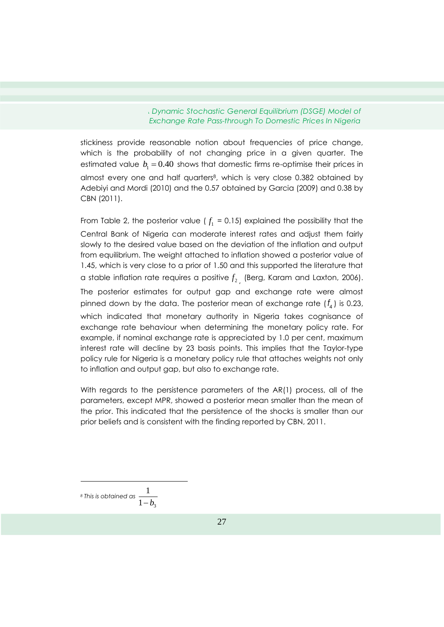stickiness provide reasonable notion about frequencies of price change, which is the probability of not changing price in a given quarter. The estimated value  $b_1 = 0.40$  shows that domestic firms re-optimise their prices in almost every one and half quarters8, which is very close 0.382 obtained by Adebiyi and Mordi (2010) and the 0.57 obtained by Garcia (2009) and 0.38 by CBN (2011).

From Table 2, the posterior value ( $f_1$  = 0.15) explained the possibility that the Central Bank of Nigeria can moderate interest rates and adjust them fairly slowly to the desired value based on the deviation of the inflation and output from equilibrium. The weight attached to inflation showed a posterior value of 1.45, which is very close to a prior of 1.50 and this supported the literature that a stable inflation rate requires a positive  $f_{_2\!$  (Berg, Karam and Laxton, 2006). The posterior estimates for output gap and exchange rate were almost pinned down by the data. The posterior mean of exchange rate ( *f* 4 ) is 0.23, which indicated that monetary authority in Nigeria takes cognisance of exchange rate behaviour when determining the monetary policy rate. For example, if nominal exchange rate is appreciated by 1.0 per cent, maximum interest rate will decline by 23 basis points. This implies that the Taylor-type policy rule for Nigeria is a monetary policy rule that attaches weights not only to inflation and output gap, but also to exchange rate.

With regards to the persistence parameters of the AR(1) process, all of the parameters, except MPR, showed a posterior mean smaller than the mean of the prior. This indicated that the persistence of the shocks is smaller than our prior beliefs and is consistent with the finding reported by CBN, 2011.

*<sup>8</sup> This is obtained as*  3 1  $1 - b$ 

1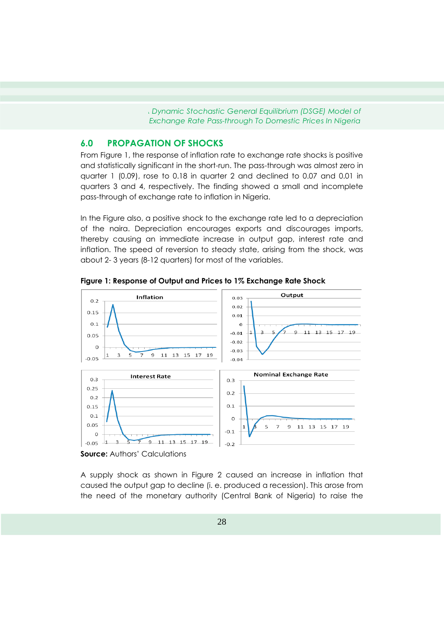## **6.0 PROPAGATION OF SHOCKS**

From Figure 1, the response of inflation rate to exchange rate shocks is positive and statistically significant in the short-run. The pass-through was almost zero in quarter 1 (0.09), rose to 0.18 in quarter 2 and declined to 0.07 and 0.01 in quarters 3 and 4, respectively. The finding showed a small and incomplete pass-through of exchange rate to inflation in Nigeria.

In the Figure also, a positive shock to the exchange rate led to a depreciation of the naira. Depreciation encourages exports and discourages imports, thereby causing an immediate increase in output gap, interest rate and inflation. The speed of reversion to steady state, arising from the shock, was about 2- 3 years (8-12 quarters) for most of the variables.



**Figure 1: Response of Output and Prices to 1% Exchange Rate Shock**

**Source:** Authors' Calculations

A supply shock as shown in Figure 2 caused an increase in inflation that caused the output gap to decline (i. e. produced a recession). This arose from the need of the monetary authority (Central Bank of Nigeria) to raise the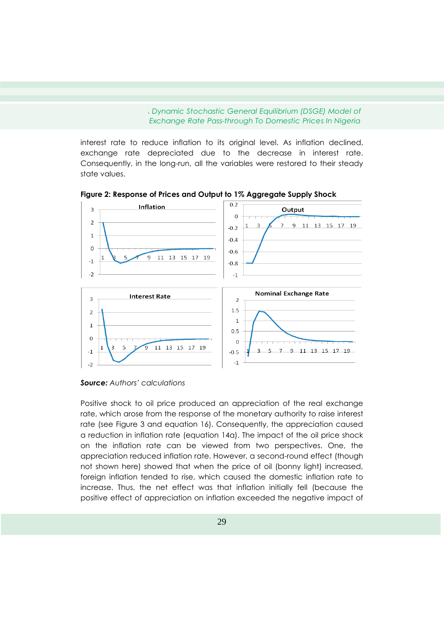interest rate to reduce inflation to its original level. As inflation declined, exchange rate depreciated due to the decrease in interest rate. Consequently, in the long-run, all the variables were restored to their steady state values.



**Figure 2: Response of Prices and Output to 1% Aggregate Supply Shock**



Positive shock to oil price produced an appreciation of the real exchange rate, which arose from the response of the monetary authority to raise interest rate (see Figure 3 and equation 16). Consequently, the appreciation caused a reduction in inflation rate (equation 14a). The impact of the oil price shock on the inflation rate can be viewed from two perspectives. One, the appreciation reduced inflation rate. However, a second-round effect (though not shown here) showed that when the price of oil (bonny light) increased, foreign inflation tended to rise, which caused the domestic inflation rate to increase. Thus, the net effect was that inflation initially fell (because the positive effect of appreciation on inflation exceeded the negative impact of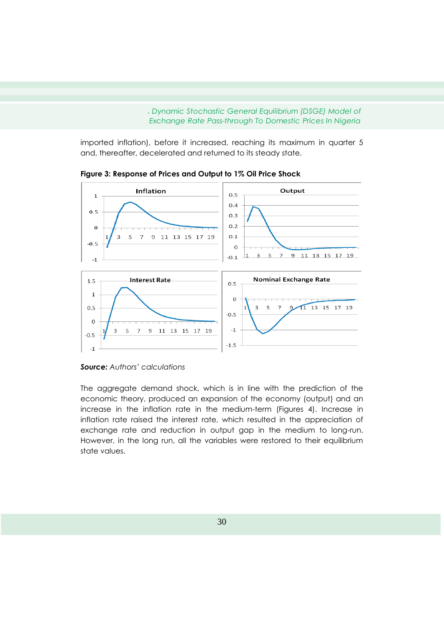imported inflation), before it increased, reaching its maximum in quarter 5 and, thereafter, decelerated and returned to its steady state.



**Figure 3: Response of Prices and Output to 1% Oil Price Shock**

The aggregate demand shock, which is in line with the prediction of the economic theory, produced an expansion of the economy (output) and an increase in the inflation rate in the medium-term (Figures 4). Increase in inflation rate raised the interest rate, which resulted in the appreciation of exchange rate and reduction in output gap in the medium to long-run. However, in the long run, all the variables were restored to their equilibrium state values.

*Source: Authors' calculations*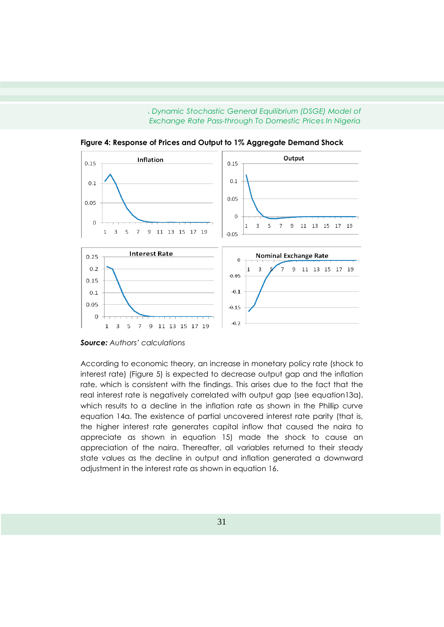

**Figure 4: Response of Prices and Output to 1% Aggregate Demand Shock**

*Source: Authors' calculations*

According to economic theory, an increase in monetary policy rate (shock to interest rate) (Figure 5) is expected to decrease output gap and the inflation rate, which is consistent with the findings. This arises due to the fact that the real interest rate is negatively correlated with output gap (see equation13a), which results to a decline in the inflation rate as shown in the Phillip curve equation 14a. The existence of partial uncovered interest rate parity (that is, the higher interest rate generates capital inflow that caused the naira to appreciate as shown in equation 15) made the shock to cause an appreciation of the naira. Thereafter, all variables returned to their steady state values as the decline in output and inflation generated a downward adjustment in the interest rate as shown in equation 16.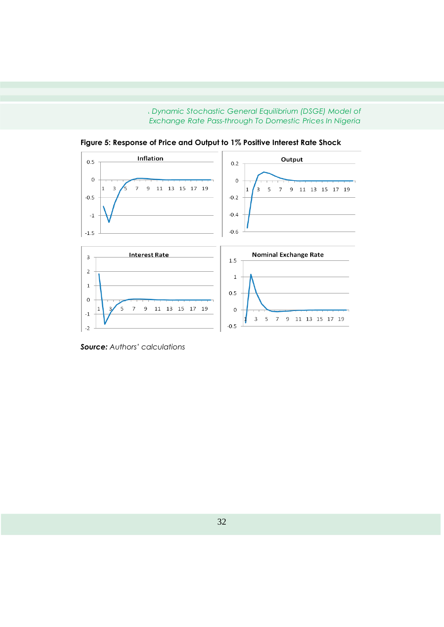



*Source: Authors' calculations*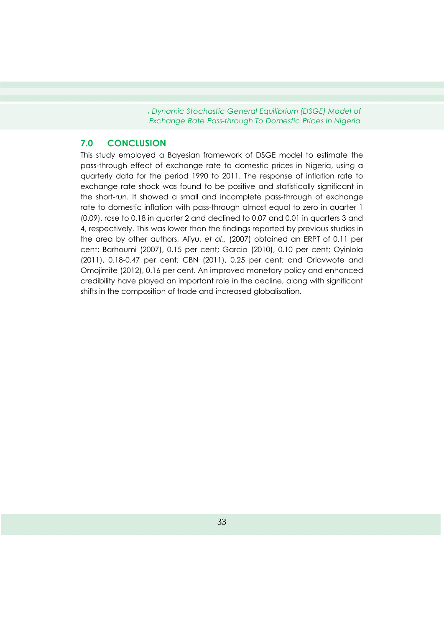# **7.0 CONCLUSION**

This study employed a Bayesian framework of DSGE model to estimate the pass-through effect of exchange rate to domestic prices in Nigeria, using a quarterly data for the period 1990 to 2011. The response of inflation rate to exchange rate shock was found to be positive and statistically significant in the short-run. It showed a small and incomplete pass-through of exchange rate to domestic inflation with pass-through almost equal to zero in quarter 1 (0.09), rose to 0.18 in quarter 2 and declined to 0.07 and 0.01 in quarters 3 and 4, respectively. This was lower than the findings reported by previous studies in the area by other authors, Aliyu, *et al*., (2007) obtained an ERPT of 0.11 per cent; Barhoumi (2007), 0.15 per cent; Garcia (2010), 0.10 per cent; Oyinlola (2011), 0.18-0.47 per cent; CBN (2011), 0.25 per cent; and Oriavwote and Omojimite (2012), 0.16 per cent. An improved monetary policy and enhanced credibility have played an important role in the decline, along with significant shifts in the composition of trade and increased globalisation.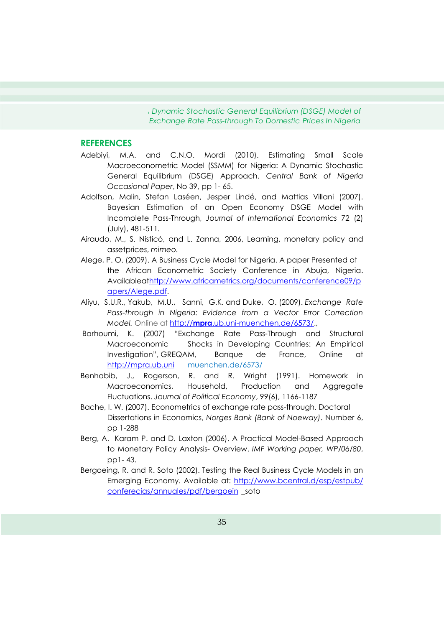## **REFERENCES**

- Adebiyi, M.A. and C.N.O. Mordi (2010). Estimating Small Scale Macroeconometric Model (SSMM) for Nigeria: A Dynamic Stochastic General Equilibrium (DSGE) Approach. *Central Bank of Nigeria Occasional Paper*, No 39, pp 1- 65.
- Adolfson, Malin, Stefan Laséen, Jesper Lindé, and Mattias Villani (2007). Bayesian Estimation of an Open Economy DSGE Model with Incomplete Pass-Through, *Journal of International Economics* 72 (2) (July), 481-511.
- Airaudo, M., S. Nisticò, and L. Zanna, 2006, Learning, monetary policy and assetprices, *mimeo.*
- Alege, P. O. (2009). A Business Cycle Model for Nigeria. A paper Presented at the African Econometric Society Conference in Abuja, Nigeria. Availablea[thttp://www.africametrics.org/documents/conference09/p](http://www.africametrics.org/documents/conference09/papers/Alege.pdf) [apers/Alege.pdf.](http://www.africametrics.org/documents/conference09/papers/Alege.pdf)
- Aliyu, S.U.R., Yakub, M.U., Sanni, G.K. and Duke, O. (2009). *Exchange Rate Pass-through in Nigeria: Evidence from a Vector Error Correction Model.* Online at http://**mpra**[.ub.uni-muenchen.de/6573/.](http://mpra.ub.uni-muenchen.de/6573/),
- Barhoumi, K. (2007) "Exchange Rate Pass-Through and Structural Macroeconomic Shocks in Developing Countries: An Empirical Investigation‖, GREQAM, Banque de France, Online at [http://mpra.ub.uni](http://mpra.ub.uni/) muenchen.de/6573/
- Benhabib, J., Rogerson, R. and R. Wright (1991). Homework in Macroeconomics, Household, Production and Aggregate Fluctuations. *Journal of Political Economy*, 99(6), 1166-1187
- Bache, I. W. (2007). Econometrics of exchange rate pass-through. Doctoral Dissertations in Economics, *Norges Bank (Bank of Noeway)*. Number 6, pp 1-288
- Berg, A. Karam P. and D. Laxton (2006). A Practical Model-Based Approach to Monetary Policy Analysis- Overview. *IMF Working paper, WP/06/80*, pp1- 43.
- Bergoeing, R. and R. Soto (2002). Testing the Real Business Cycle Models in an Emerging Economy. Available at: [http://www.bcentral.d/esp/estpub/](http://www.bcentral.d/esp/estpub/%20conferecias/annuales/pdf/bergoein)  [conferecias/annuales/pdf/bergoein](http://www.bcentral.d/esp/estpub/%20conferecias/annuales/pdf/bergoein) \_soto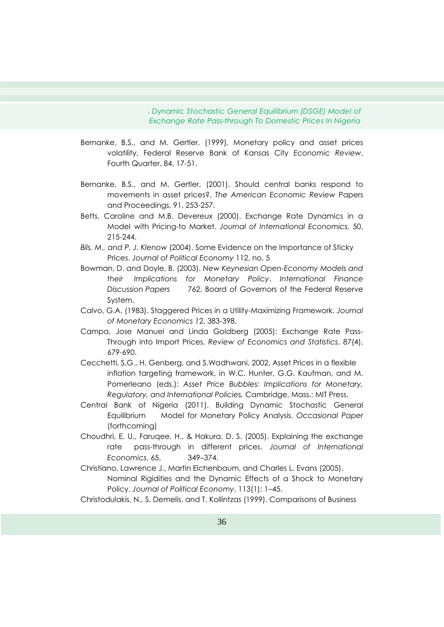- Bernanke, B.S., and M. Gertler, (1999). Monetary policy and asset prices volatility, Federal Reserve Bank of Kansas City *Economic Review*, Fourth Quarter, 84, 17-51.
- Bernanke, B.S., and M. Gertler, (2001). Should central banks respond to movements in asset prices?, *The American Economic Review* Papers and Proceedings, 91, 253-257.
- Betts, Caroline and M.B. Devereux (2000). Exchange Rate Dynamics in a Model with Pricing-to Market. *Journal of International Economics,* 50, 215-244.
- *Bils, M., and P. J. Klenow* (2004). Some Evidence on the Importance of Sticky Prices. *Journal of Political Economy* 112, no. 5
- Bowman, D. and Doyle, B. (2003). *New Keynesian Open-Economy Models and their Implications for Monetary Policy*. *International Finance Discussion Papers* 762, Board of Governors of the Federal Reserve System.
- Calvo, G.A. (1983). Staggered Prices in a Utility-Maximizing Framework. *Journal of Monetary Economics 1*2, 383-398.
- Campa, Jose Manuel and Linda Goldberg (2005): Exchange Rate Pass-Through into Import Prices, *Review of Economics and Statistics*, 87(4), 679-690.
- Cecchetti, S.G., H. Genberg, and S.Wadhwani, 2002, Asset Prices in a flexible inflation targeting framework, in W.C. Hunter, G.G. Kaufman, and M. Pomerleano (eds.): *Asset Price Bubbles: Implications for Monetary, Regulatory, and International Policies,* Cambridge, Mass.: MIT Press.
- Central Bank of Nigeria (2011). Building Dynamic Stochastic General Equilibrium Model for Monetary Policy Analysis. *Occasional Paper* (forthcoming)
- Choudhri, E. U., Faruqee, H., & Hakura, D. S. (2005). Explaining the exchange rate pass-through in different prices. *Journal of International Economics*, 65, 349–374.
- Christiano, Lawrence J., Martin Eichenbaum, and Charles L. Evans (2005). Nominal Rigidities and the Dynamic Effects of a Shock to Monetary Policy. *Journal of Political Economy*, 113(1): 1–45.

Christodulakis, N., S. Demelis, and T. Kollintzas (1999). Comparisons of Business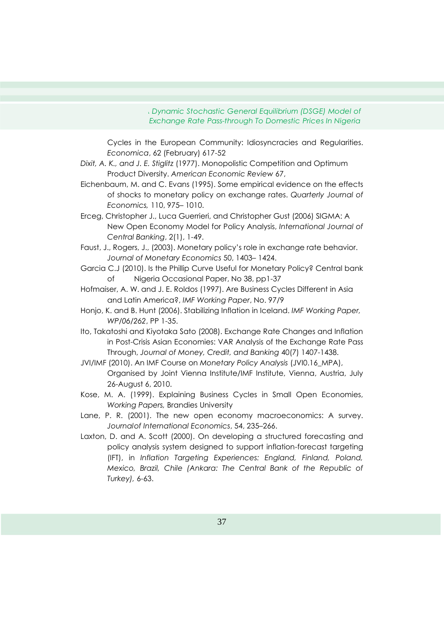Cycles in the European Community: Idiosyncracies and Regularities. *Economica*, 62 (February) 617-52

- *Dixit, A. K., and J. E. Stiglitz* (1977). Monopolistic Competition and Optimum Product Diversity. *American Economic Review* 67,
- Eichenbaum, M. and C. Evans (1995). Some empirical evidence on the effects of shocks to monetary policy on exchange rates. *Quarterly Journal of Economics,* 110, 975– 1010.
- Erceg, Christopher J., Luca Guerrieri, and Christopher Gust (2006) SIGMA: A New Open Economy Model for Policy Analysis, *International Journal of Central Banking*, 2(1), 1-49.
- Faust, J., Rogers, J., (2003). Monetary policy's role in exchange rate behavior. *Journal of Monetary Economics* 50, 1403– 1424.
- Garcia C.J (2010). Is the Phillip Curve Useful for Monetary Policy? Central bank of Nigeria Occasional Paper, No 38, pp1-37
- Hofmaiser, A. W. and J. E. Roldos (1997). Are Business Cycles Different in Asia and Latin America?, *IMF Working Paper*, No. 97/9
- Honjo, K. and B. Hunt (2006). Stabilizing Inflation in Iceland. *IMF Working Paper, WP/06/262*, PP 1-35.
- Ito, Takatoshi and Kiyotaka Sato (2008). Exchange Rate Changes and Inflation in Post-Crisis Asian Economies: VAR Analysis of the Exchange Rate Pass Through, *Journal of Money, Credit, and Banking* 40(7) 1407-1438.
- JVI/IMF (2010). An IMF Course on *Monetary Policy Analysis* (JVI0.16\_MPA), Organised by Joint Vienna Institute/IMF Institute, Vienna, Austria, July 26-August 6, 2010.
- Kose, M. A. (1999). Explaining Business Cycles in Small Open Economies, *Working Papers,* Brandies University
- Lane, P. R. (2001). The new open economy macroeconomics: A survey. *Journalof International Economics*, 54, 235–266.
- Laxton, D. and A. Scott (2000). On developing a structured forecasting and policy analysis system designed to support inflation-forecast targeting (IFT), in *Inflation Targeting Experiences: England, Finland, Poland, Mexico, Brazil, Chile (Ankara: The Central Bank of the Republic of Turkey),* 6-63.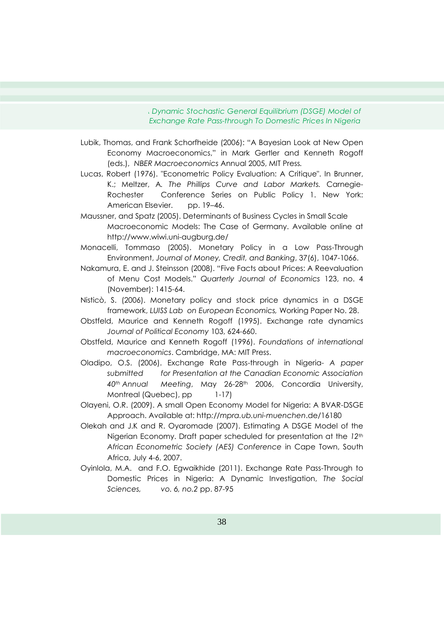- Lubik, Thomas, and Frank Schorfheide (2006): "A Bayesian Look at New Open Economy Macroeconomics," in Mark Gertler and Kenneth Rogoff (eds.), *NBER Macroeconomics* Annual 2005, MIT Press*.*
- Lucas, Robert (1976). "Econometric Policy Evaluation: A Critique". In [Brunner,](https://en.wikipedia.org/wiki/Karl_Brunner_(economist))  [K.;](https://en.wikipedia.org/wiki/Karl_Brunner_(economist)) Meltzer, A*. The Phillips Curve and Labor Markets.* Carnegie-Rochester Conference Series on Public Policy 1. New York: American Elsevier. pp. 19-46.
- Maussner, and Spatz (2005). Determinants of Business Cycles in Small Scale Macroeconomic Models: The Case of Germany. Available online at http://www.wiwi.uni-augburg.de/
- Monacelli, Tommaso (2005). Monetary Policy in a Low Pass-Through Environment, *Journal of Money, Credit, and Banking*, 37(6), 1047-1066.
- Nakamura, E. and J. Steinsson (2008). "Five Facts about Prices: A Reevaluation of Menu Cost Models.‖ *Quarterly Journal of Economics* 123, no. 4 (November): 1415-64.
- Nisticò, S. (2006). Monetary policy and stock price dynamics in a DSGE framework, *LUISS Lab on European Economics,* Working Paper No. 28.
- Obstfeld, Maurice and Kenneth Rogoff (1995). Exchange rate dynamics *Journal of Political Economy* 103, 624-660.
- Obstfeld, Maurice and Kenneth Rogoff (1996). *Foundations of international macroeconomics*. Cambridge, MA: MIT Press.
- Oladipo, O.S. (2006). Exchange Rate Pass-through in Nigeria- *A paper submitted for Presentation at the Canadian Economic Association 40th Annual Meeting*, May 26-28th 2006, Concordia University, Montreal (Quebec), pp 1-17)
- Olayeni, O.R. (2009). A small Open Economy Model for Nigeria: A BVAR-DSGE Approach. Available at: http*://mpra.ub.uni-muenchen*.de/16180
- Olekah and J.K and R. Oyaromade (2007). Estimating A DSGE Model of the Nigerian Economy. Draft paper scheduled for presentation at the *12th African Econometric Society (AES) Conference* in Cape Town, South Africa, July 4-6, 2007.
- Oyinlola, M.A. and F.O. Egwaikhide (2011). Exchange Rate Pass-Through to Domestic Prices in Nigeria: A Dynamic Investigation, *The Social Sciences, vo. 6, no.2* pp. 87-95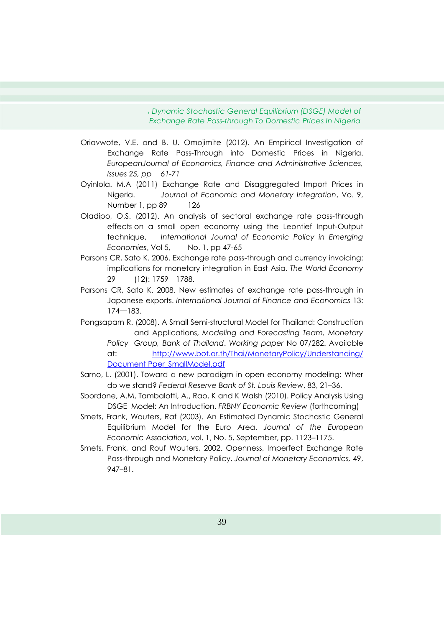- Oriavwote, V.E. and B. U. Omojimite (2012). An Empirical Investigation of Exchange Rate Pass-Through into Domestic Prices in Nigeria. *EuropeanJournal of Economics, Finance and Administrative Sciences, Issues 25, pp 61-71*
- Oyinlola. M.A (2011) Exchange Rate and Disaggregated Import Prices in Nigeria. *Journal of Economic and Monetary Integration*, Vo. 9, Number 1, pp 89 126
- Oladipo, O.S. (2012). An analysis of sectoral exchange rate pass-through effects on a small open economy using the Leontief Input-Output technique, *International Journal of Economic Policy in Emerging Economies, Vol 5,* No. 1, pp 47-65
- Parsons CR, Sato K. 2006. Exchange rate pass-through and currency invoicing: implications for monetary integration in East Asia. *The World Economy* 29 (12): 1759─1788.
- Parsons CR, Sato K. 2008. New estimates of exchange rate pass-through in Japanese exports. *International Journal of Finance and Economics* 13: 174─183.
- Pongsaparn R. (2008). A Small Semi-structural Model for Thailand: Construction and Applications, *Modeling and Forecasting Team, Monetary Policy Group, Bank of Thailand*. *Working paper* No 07/282. Available at: [http://www.bot.or.th/Thai/MonetaryPolicy/Understanding/](http://www.bot.or.th/Thai/MonetaryPolicy/Understanding/%20Document%20Pper_SmallModel.pdf)  [Document Pper\\_SmallModel.pdf](http://www.bot.or.th/Thai/MonetaryPolicy/Understanding/%20Document%20Pper_SmallModel.pdf)
- Sarno, L. (2001). Toward a new paradigm in open economy modeling: Wher do we stand? *Federal Reserve Bank of St. Louis Review*, 83, 21–36.
- Sbordone, A.M, Tambalotti, A., Rao, K and K Walsh (2010). Policy Analysis Using DSGE Model: An Introduction. *FRBNY Economic Review* (forthcoming)
- Smets, Frank, Wouters, Raf (2003). An Estimated Dynamic Stochastic General Equilibrium Model for the Euro Area. *Journal of the European Economic Association*, vol. 1, No. 5, September, pp. 1123–1175.
- Smets, Frank, and Rouf Wouters, 2002. Openness, Imperfect Exchange Rate Pass-through and Monetary Policy. *Journal of Monetary Economics,* 49, 947–81.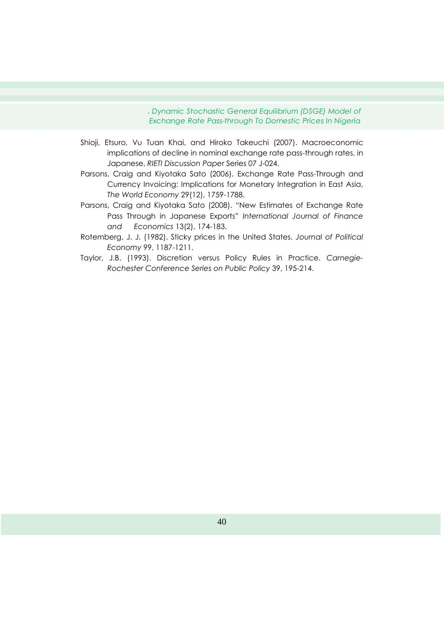- Shioji, Etsuro, Vu Tuan Khai, and Hiroko Takeuchi (2007). Macroeconomic implications of decline in nominal exchange rate pass-through rates, in Japanese, *RIETI Discussion Pape*r Series 07 J-024.
- Parsons, Craig and Kiyotaka Sato (2006). Exchange Rate Pass-Through and Currency Invoicing: Implications for Monetary Integration in East Asia, *The World Economy* 29(12), 1759-1788.
- Parsons, Craig and Kiyotaka Sato (2008). "New Estimates of Exchange Rate Pass Through in Japanese Exports‖ *International Journal of Finance and Economics* 13(2), 174-183.
- Rotemberg, J. J. (1982). Sticky prices in the United States. *Journal of Political Economy* 99, 1187-1211.
- Taylor, J.B. (1993). Discretion versus Policy Rules in Practice. *Carnegie-Rochester Conference Series on Public Policy* 39, 195-214.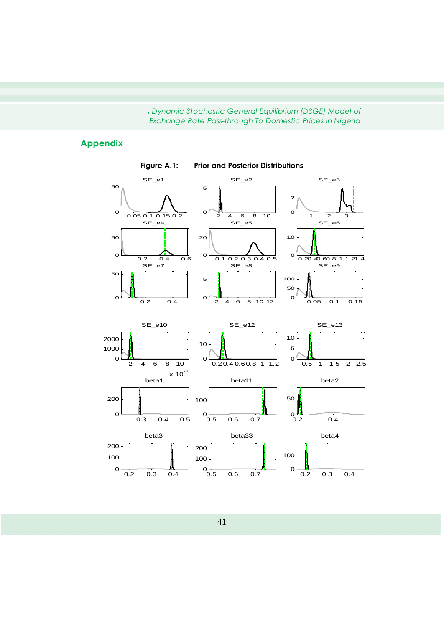# **Appendix**



**Figure A.1: Prior and Posterior Distributions**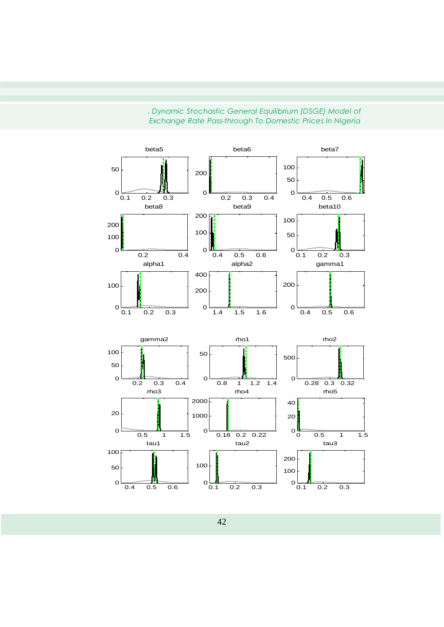